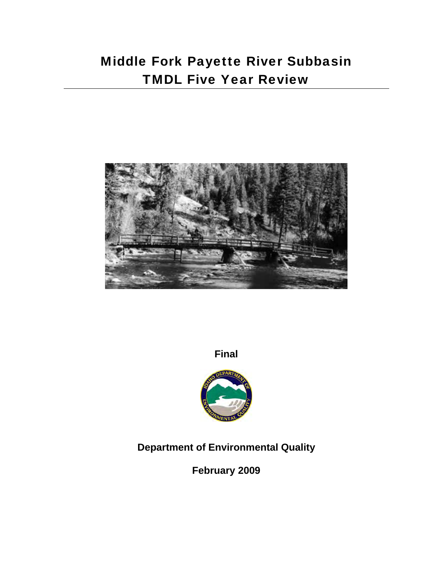# Middle Fork Payette River Subbasin TMDL Five Year Review



**Final**



## **Department of Environmental Quality**

**February 2009**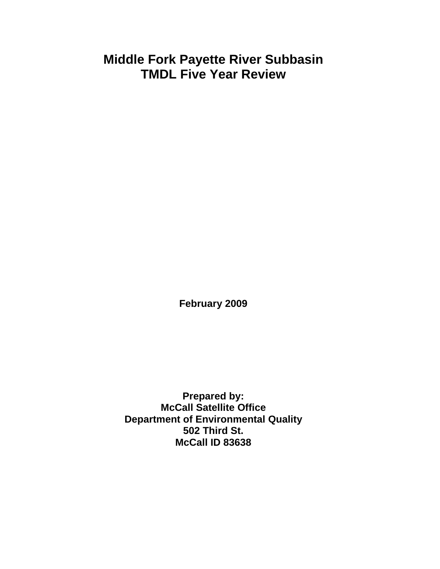## **Middle Fork Payette River Subbasin TMDL Five Year Review**

**February 2009** 

**Prepared by: McCall Satellite Office Department of Environmental Quality 502 Third St. McCall ID 83638**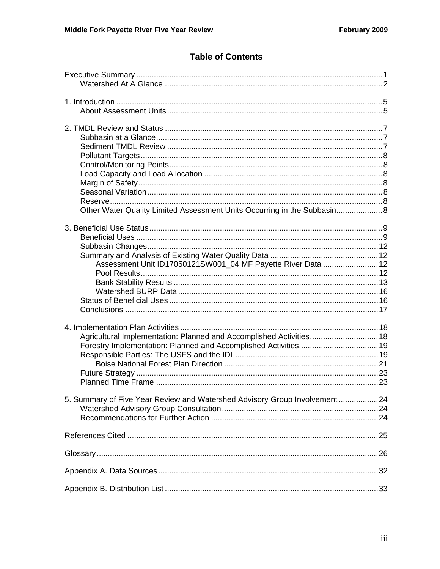## **Table of Contents**

| Other Water Quality Limited Assessment Units Occurring in the Subbasin 8  |  |
|---------------------------------------------------------------------------|--|
|                                                                           |  |
|                                                                           |  |
|                                                                           |  |
|                                                                           |  |
| Assessment Unit ID17050121SW001_04 MF Payette River Data  12              |  |
|                                                                           |  |
|                                                                           |  |
|                                                                           |  |
|                                                                           |  |
|                                                                           |  |
|                                                                           |  |
|                                                                           |  |
| Agricultural Implementation: Planned and Accomplished Activities 18       |  |
|                                                                           |  |
|                                                                           |  |
|                                                                           |  |
|                                                                           |  |
|                                                                           |  |
| 5. Summary of Five Year Review and Watershed Advisory Group Involvement24 |  |
|                                                                           |  |
|                                                                           |  |
|                                                                           |  |
|                                                                           |  |
|                                                                           |  |
|                                                                           |  |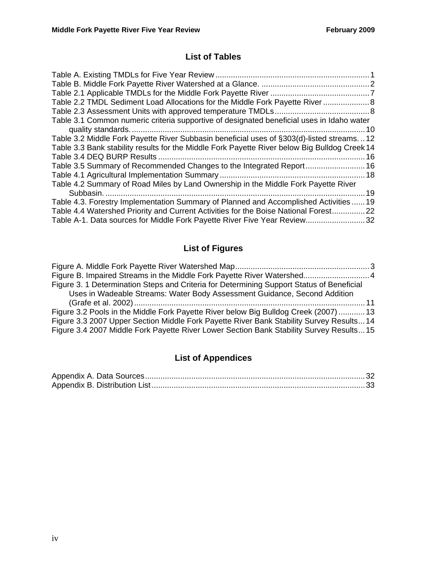## **List of Tables**

| Table 2.2 TMDL Sediment Load Allocations for the Middle Fork Payette River 8                  |    |
|-----------------------------------------------------------------------------------------------|----|
|                                                                                               |    |
| Table 3.1 Common numeric criteria supportive of designated beneficial uses in Idaho water     |    |
|                                                                                               |    |
| Table 3.2 Middle Fork Payette River Subbasin beneficial uses of §303(d)-listed streams12      |    |
| Table 3.3 Bank stability results for the Middle Fork Payette River below Big Bulldog Creek 14 |    |
|                                                                                               | 16 |
| Table 3.5 Summary of Recommended Changes to the Integrated Report 16                          |    |
|                                                                                               |    |
| Table 4.2 Summary of Road Miles by Land Ownership in the Middle Fork Payette River            |    |
|                                                                                               | 19 |
| Table 4.3. Forestry Implementation Summary of Planned and Accomplished Activities  19         |    |
| Table 4.4 Watershed Priority and Current Activities for the Boise National Forest22           |    |
| Table A-1. Data sources for Middle Fork Payette River Five Year Review32                      |    |

## **List of Figures**

| Figure B. Impaired Streams in the Middle Fork Payette River Watershed 4                   |  |
|-------------------------------------------------------------------------------------------|--|
| Figure 3. 1 Determination Steps and Criteria for Determining Support Status of Beneficial |  |
| Uses in Wadeable Streams: Water Body Assessment Guidance, Second Addition                 |  |
|                                                                                           |  |
| Figure 3.2 Pools in the Middle Fork Payette River below Big Bulldog Creek (2007)  13      |  |
| Figure 3.3 2007 Upper Section Middle Fork Payette River Bank Stability Survey Results 14  |  |
| Figure 3.4 2007 Middle Fork Payette River Lower Section Bank Stability Survey Results 15  |  |
|                                                                                           |  |

## **List of Appendices**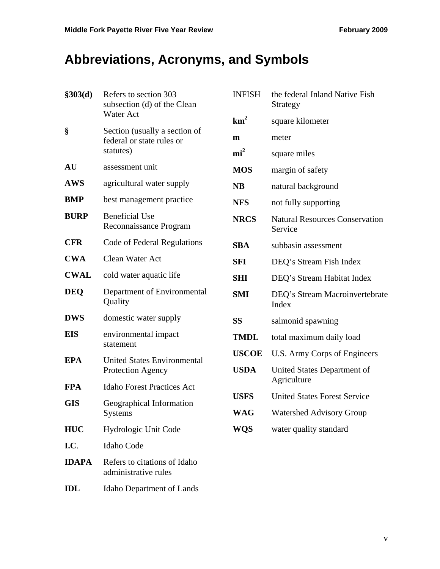# **Abbreviations, Acronyms, and Symbols**

| \$303(d)     | Refers to section 303<br>subsection (d) of the Clean       | <b>INFISH</b>   | the federal Inland Native Fish<br>Strategy       |
|--------------|------------------------------------------------------------|-----------------|--------------------------------------------------|
|              | <b>Water Act</b>                                           | km <sup>2</sup> | square kilometer                                 |
| §            | Section (usually a section of<br>federal or state rules or | $\mathbf{m}$    | meter                                            |
|              | statutes)                                                  | $\text{mi}^2$   | square miles                                     |
| <b>AU</b>    | assessment unit                                            | <b>MOS</b>      | margin of safety                                 |
| <b>AWS</b>   | agricultural water supply                                  | <b>NB</b>       | natural background                               |
| <b>BMP</b>   | best management practice                                   | <b>NFS</b>      | not fully supporting                             |
| <b>BURP</b>  | <b>Beneficial Use</b><br>Reconnaissance Program            | <b>NRCS</b>     | <b>Natural Resources Conservation</b><br>Service |
| <b>CFR</b>   | Code of Federal Regulations                                | <b>SBA</b>      | subbasin assessment                              |
| <b>CWA</b>   | Clean Water Act                                            | <b>SFI</b>      | DEQ's Stream Fish Index                          |
| <b>CWAL</b>  | cold water aquatic life                                    | <b>SHI</b>      | DEQ's Stream Habitat Index                       |
| <b>DEO</b>   | Department of Environmental<br>Quality                     | <b>SMI</b>      | DEQ's Stream Macroinvertebrate<br>Index          |
| <b>DWS</b>   | domestic water supply                                      | <b>SS</b>       | salmonid spawning                                |
| <b>EIS</b>   | environmental impact<br>statement                          | <b>TMDL</b>     | total maximum daily load                         |
| <b>EPA</b>   | <b>United States Environmental</b>                         | <b>USCOE</b>    | U.S. Army Corps of Engineers                     |
|              | Protection Agency                                          | <b>USDA</b>     | United States Department of<br>Agriculture       |
| <b>FPA</b>   | <b>Idaho Forest Practices Act</b>                          | <b>USFS</b>     | <b>United States Forest Service</b>              |
| <b>GIS</b>   | Geographical Information<br>Systems                        | <b>WAG</b>      | Watershed Advisory Group                         |
| <b>HUC</b>   | Hydrologic Unit Code                                       | <b>WQS</b>      | water quality standard                           |
| I.C.         | Idaho Code                                                 |                 |                                                  |
| <b>IDAPA</b> | Refers to citations of Idaho<br>administrative rules       |                 |                                                  |
| <b>IDL</b>   | <b>Idaho Department of Lands</b>                           |                 |                                                  |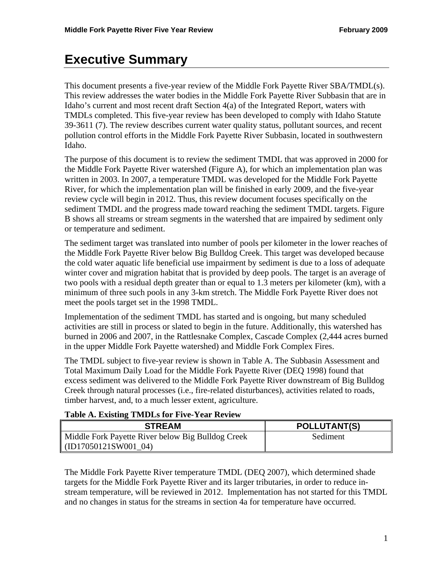## **Executive Summary**

This document presents a five-year review of the Middle Fork Payette River SBA/TMDL(s). This review addresses the water bodies in the Middle Fork Payette River Subbasin that are in Idaho's current and most recent draft Section 4(a) of the Integrated Report, waters with TMDLs completed. This five-year review has been developed to comply with Idaho Statute 39-3611 (7). The review describes current water quality status, pollutant sources, and recent pollution control efforts in the Middle Fork Payette River Subbasin, located in southwestern Idaho.

The purpose of this document is to review the sediment TMDL that was approved in 2000 for the Middle Fork Payette River watershed (Figure A), for which an implementation plan was written in 2003. In 2007, a temperature TMDL was developed for the Middle Fork Payette River, for which the implementation plan will be finished in early 2009, and the five-year review cycle will begin in 2012. Thus, this review document focuses specifically on the sediment TMDL and the progress made toward reaching the sediment TMDL targets. Figure B shows all streams or stream segments in the watershed that are impaired by sediment only or temperature and sediment.

The sediment target was translated into number of pools per kilometer in the lower reaches of the Middle Fork Payette River below Big Bulldog Creek. This target was developed because the cold water aquatic life beneficial use impairment by sediment is due to a loss of adequate winter cover and migration habitat that is provided by deep pools. The target is an average of two pools with a residual depth greater than or equal to 1.3 meters per kilometer (km), with a minimum of three such pools in any 3-km stretch. The Middle Fork Payette River does not meet the pools target set in the 1998 TMDL.

Implementation of the sediment TMDL has started and is ongoing, but many scheduled activities are still in process or slated to begin in the future. Additionally, this watershed has burned in 2006 and 2007, in the Rattlesnake Complex, Cascade Complex (2,444 acres burned in the upper Middle Fork Payette watershed) and Middle Fork Complex Fires.

The TMDL subject to five-year review is shown in Table A. The Subbasin Assessment and Total Maximum Daily Load for the Middle Fork Payette River (DEQ 1998) found that excess sediment was delivered to the Middle Fork Payette River downstream of Big Bulldog Creek through natural processes (i.e., fire-related disturbances), activities related to roads, timber harvest, and, to a much lesser extent, agriculture.

#### **Table A. Existing TMDLs for Five-Year Review**

| <b>STREAM</b>                                     | <b>POLLUTANT(S)</b> |
|---------------------------------------------------|---------------------|
| Middle Fork Payette River below Big Bulldog Creek | Sediment            |
| (ID17050121SW001 04)                              |                     |

The Middle Fork Payette River temperature TMDL (DEQ 2007), which determined shade targets for the Middle Fork Payette River and its larger tributaries, in order to reduce instream temperature, will be reviewed in 2012. Implementation has not started for this TMDL and no changes in status for the streams in section 4a for temperature have occurred.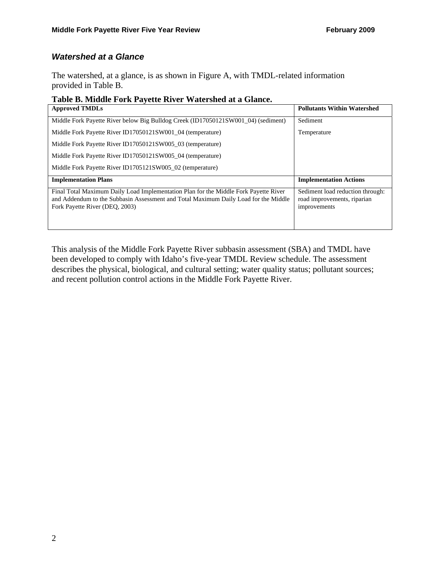### *Watershed at a Glance*

The watershed, at a glance, is as shown in Figure A, with TMDL-related information provided in Table B.

#### **Table B. Middle Fork Payette River Watershed at a Glance.**

| <b>Approved TMDLs</b>                                                                                                                                                                                         | <b>Pollutants Within Watershed</b>                                              |
|---------------------------------------------------------------------------------------------------------------------------------------------------------------------------------------------------------------|---------------------------------------------------------------------------------|
| Middle Fork Payette River below Big Bulldog Creek (ID17050121SW001 04) (sediment)                                                                                                                             | Sediment                                                                        |
| Middle Fork Payette River ID17050121SW001 04 (temperature)                                                                                                                                                    | Temperature                                                                     |
| Middle Fork Payette River ID17050121SW005_03 (temperature)                                                                                                                                                    |                                                                                 |
| Middle Fork Payette River ID17050121SW005 04 (temperature)                                                                                                                                                    |                                                                                 |
| Middle Fork Payette River ID1705121SW005 02 (temperature)                                                                                                                                                     |                                                                                 |
| <b>Implementation Plans</b>                                                                                                                                                                                   | <b>Implementation Actions</b>                                                   |
| Final Total Maximum Daily Load Implementation Plan for the Middle Fork Payette River<br>and Addendum to the Subbasin Assessment and Total Maximum Daily Load for the Middle<br>Fork Payette River (DEO, 2003) | Sediment load reduction through:<br>road improvements, riparian<br>improvements |

This analysis of the Middle Fork Payette River subbasin assessment (SBA) and TMDL have been developed to comply with Idaho's five-year TMDL Review schedule. The assessment describes the physical, biological, and cultural setting; water quality status; pollutant sources; and recent pollution control actions in the Middle Fork Payette River.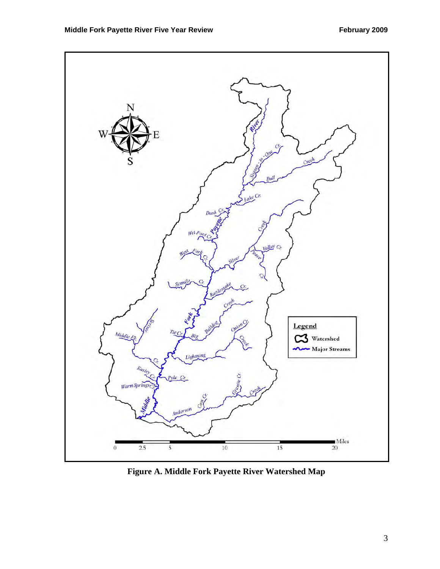

**Figure A. Middle Fork Payette River Watershed Map**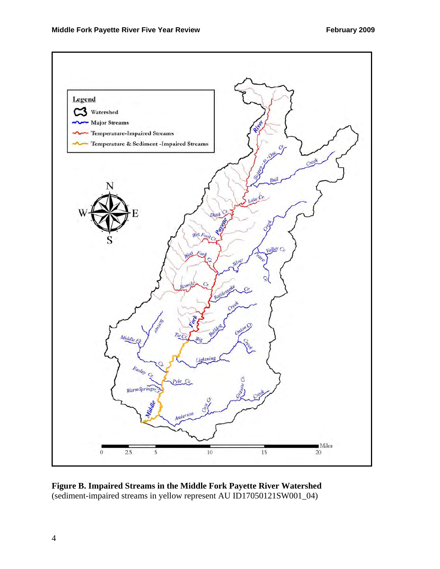

**Figure B. Impaired Streams in the Middle Fork Payette River Watershed**  (sediment-impaired streams in yellow represent AU ID17050121SW001\_04)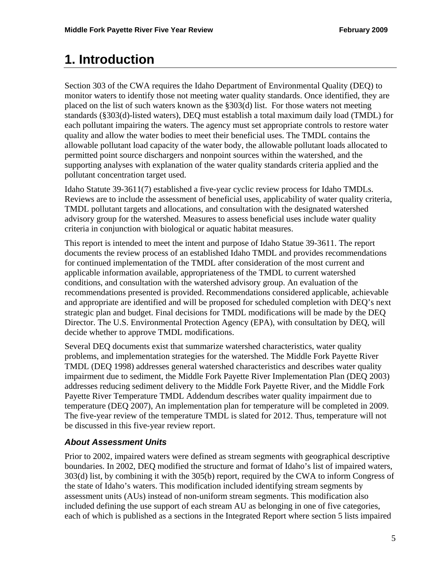## **1. Introduction**

Section 303 of the CWA requires the Idaho Department of Environmental Quality (DEQ) to monitor waters to identify those not meeting water quality standards. Once identified, they are placed on the list of such waters known as the §303(d) list. For those waters not meeting standards (§303(d)-listed waters), DEQ must establish a total maximum daily load (TMDL) for each pollutant impairing the waters. The agency must set appropriate controls to restore water quality and allow the water bodies to meet their beneficial uses. The TMDL contains the allowable pollutant load capacity of the water body, the allowable pollutant loads allocated to permitted point source dischargers and nonpoint sources within the watershed, and the supporting analyses with explanation of the water quality standards criteria applied and the pollutant concentration target used.

Idaho Statute 39-3611(7) established a five-year cyclic review process for Idaho TMDLs. Reviews are to include the assessment of beneficial uses, applicability of water quality criteria, TMDL pollutant targets and allocations, and consultation with the designated watershed advisory group for the watershed. Measures to assess beneficial uses include water quality criteria in conjunction with biological or aquatic habitat measures.

This report is intended to meet the intent and purpose of Idaho Statue 39-3611. The report documents the review process of an established Idaho TMDL and provides recommendations for continued implementation of the TMDL after consideration of the most current and applicable information available, appropriateness of the TMDL to current watershed conditions, and consultation with the watershed advisory group. An evaluation of the recommendations presented is provided. Recommendations considered applicable, achievable and appropriate are identified and will be proposed for scheduled completion with DEQ's next strategic plan and budget. Final decisions for TMDL modifications will be made by the DEQ Director. The U.S. Environmental Protection Agency (EPA), with consultation by DEQ, will decide whether to approve TMDL modifications.

Several DEQ documents exist that summarize watershed characteristics, water quality problems, and implementation strategies for the watershed. The Middle Fork Payette River TMDL (DEQ 1998) addresses general watershed characteristics and describes water quality impairment due to sediment, the Middle Fork Payette River Implementation Plan (DEQ 2003) addresses reducing sediment delivery to the Middle Fork Payette River, and the Middle Fork Payette River Temperature TMDL Addendum describes water quality impairment due to temperature (DEQ 2007), An implementation plan for temperature will be completed in 2009. The five-year review of the temperature TMDL is slated for 2012. Thus, temperature will not be discussed in this five-year review report.

## *About Assessment Units*

Prior to 2002, impaired waters were defined as stream segments with geographical descriptive boundaries. In 2002, DEQ modified the structure and format of Idaho's list of impaired waters, 303(d) list, by combining it with the 305(b) report, required by the CWA to inform Congress of the state of Idaho's waters. This modification included identifying stream segments by assessment units (AUs) instead of non-uniform stream segments. This modification also included defining the use support of each stream AU as belonging in one of five categories, each of which is published as a sections in the Integrated Report where section 5 lists impaired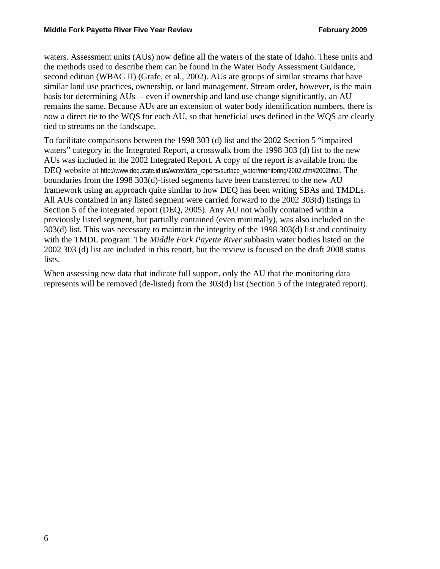waters. Assessment units (AUs) now define all the waters of the state of Idaho. These units and the methods used to describe them can be found in the Water Body Assessment Guidance, second edition (WBAG II) (Grafe, et al., 2002). AUs are groups of similar streams that have similar land use practices, ownership, or land management. Stream order, however, is the main basis for determining AUs— even if ownership and land use change significantly, an AU remains the same. Because AUs are an extension of water body identification numbers, there is now a direct tie to the WQS for each AU, so that beneficial uses defined in the WQS are clearly tied to streams on the landscape.

To facilitate comparisons between the 1998 303 (d) list and the 2002 Section 5 "impaired waters" category in the Integrated Report, a crosswalk from the 1998 303 (d) list to the new AUs was included in the 2002 Integrated Report. A copy of the report is available from the DEQ website at http://www.deq.state.id.us/water/data\_reports/surface\_water/monitoring/2002.cfm#2002final. The boundaries from the 1998 303(d)-listed segments have been transferred to the new AU framework using an approach quite similar to how DEQ has been writing SBAs and TMDLs. All AUs contained in any listed segment were carried forward to the 2002 303(d) listings in Section 5 of the integrated report (DEQ, 2005). Any AU not wholly contained within a previously listed segment, but partially contained (even minimally), was also included on the 303(d) list. This was necessary to maintain the integrity of the 1998 303(d) list and continuity with the TMDL program. The *Middle Fork Payette River* subbasin water bodies listed on the 2002 303 (d) list are included in this report, but the review is focused on the draft 2008 status lists.

When assessing new data that indicate full support, only the AU that the monitoring data represents will be removed (de-listed) from the 303(d) list (Section 5 of the integrated report).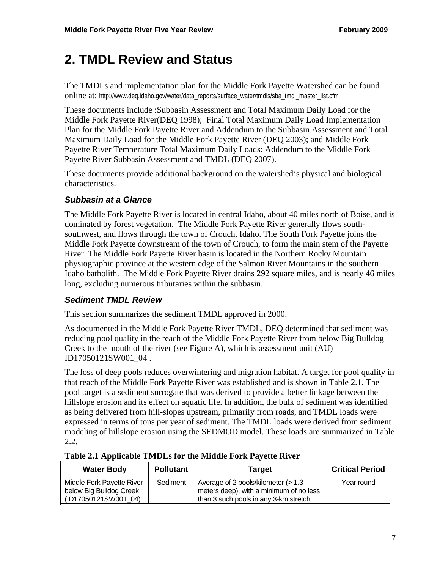# **2. TMDL Review and Status**

The TMDLs and implementation plan for the Middle Fork Payette Watershed can be found online at: http://www.deq.idaho.gov/water/data\_reports/surface\_water/tmdls/sba\_tmdl\_master\_list.cfm

These documents include :Subbasin Assessment and Total Maximum Daily Load for the Middle Fork Payette River(DEQ 1998); Final Total Maximum Daily Load Implementation Plan for the Middle Fork Payette River and Addendum to the Subbasin Assessment and Total Maximum Daily Load for the Middle Fork Payette River (DEQ 2003); and Middle Fork Payette River Temperature Total Maximum Daily Loads: Addendum to the Middle Fork Payette River Subbasin Assessment and TMDL (DEQ 2007).

These documents provide additional background on the watershed's physical and biological characteristics.

### *Subbasin at a Glance*

The Middle Fork Payette River is located in central Idaho, about 40 miles north of Boise, and is dominated by forest vegetation. The Middle Fork Payette River generally flows southsouthwest, and flows through the town of Crouch, Idaho. The South Fork Payette joins the Middle Fork Payette downstream of the town of Crouch, to form the main stem of the Payette River. The Middle Fork Payette River basin is located in the Northern Rocky Mountain physiographic province at the western edge of the Salmon River Mountains in the southern Idaho batholith. The Middle Fork Payette River drains 292 square miles, and is nearly 46 miles long, excluding numerous tributaries within the subbasin.

## *Sediment TMDL Review*

This section summarizes the sediment TMDL approved in 2000.

As documented in the Middle Fork Payette River TMDL, DEQ determined that sediment was reducing pool quality in the reach of the Middle Fork Payette River from below Big Bulldog Creek to the mouth of the river (see Figure A), which is assessment unit (AU) ID17050121SW001\_04 .

The loss of deep pools reduces overwintering and migration habitat. A target for pool quality in that reach of the Middle Fork Payette River was established and is shown in Table 2.1. The pool target is a sediment surrogate that was derived to provide a better linkage between the hillslope erosion and its effect on aquatic life. In addition, the bulk of sediment was identified as being delivered from hill-slopes upstream, primarily from roads, and TMDL loads were expressed in terms of tons per year of sediment. The TMDL loads were derived from sediment modeling of hillslope erosion using the SEDMOD model. These loads are summarized in Table 2.2.

| <b>Water Body</b>                                                            | <b>Pollutant</b> | Target                                                                                                                  | <b>Critical Period</b> |
|------------------------------------------------------------------------------|------------------|-------------------------------------------------------------------------------------------------------------------------|------------------------|
| Middle Fork Payette River<br>below Big Bulldog Creek<br>(ID17050121SW001 04) | Sediment         | Average of 2 pools/kilometer (> 1.3<br>meters deep), with a minimum of no less<br>than 3 such pools in any 3-km stretch | Year round             |

#### **Table 2.1 Applicable TMDLs for the Middle Fork Payette River**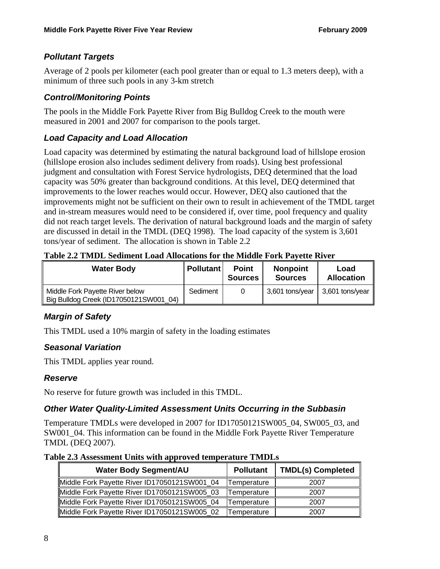## *Pollutant Targets*

Average of 2 pools per kilometer (each pool greater than or equal to 1.3 meters deep), with a minimum of three such pools in any 3-km stretch

## *Control/Monitoring Points*

The pools in the Middle Fork Payette River from Big Bulldog Creek to the mouth were measured in 2001 and 2007 for comparison to the pools target.

## *Load Capacity and Load Allocation*

Load capacity was determined by estimating the natural background load of hillslope erosion (hillslope erosion also includes sediment delivery from roads). Using best professional judgment and consultation with Forest Service hydrologists, DEQ determined that the load capacity was 50% greater than background conditions. At this level, DEQ determined that improvements to the lower reaches would occur. However, DEQ also cautioned that the improvements might not be sufficient on their own to result in achievement of the TMDL target and in-stream measures would need to be considered if, over time, pool frequency and quality did not reach target levels. The derivation of natural background loads and the margin of safety are discussed in detail in the TMDL (DEQ 1998). The load capacity of the system is 3,601 tons/year of sediment. The allocation is shown in Table 2.2

**Table 2.2 TMDL Sediment Load Allocations for the Middle Fork Payette River** 

| <b>Water Body</b>                                                         | <b>Pollutant</b> | <b>Point</b><br><b>Sources</b> | <b>Nonpoint</b><br><b>Sources</b> | Load<br><b>Allocation</b> |
|---------------------------------------------------------------------------|------------------|--------------------------------|-----------------------------------|---------------------------|
| Middle Fork Payette River below<br>Big Bulldog Creek (ID17050121SW001_04) | Sediment         |                                | 3,601 tons/year                   | 3,601 tons/year           |

## *Margin of Safety*

This TMDL used a 10% margin of safety in the loading estimates

## *Seasonal Variation*

This TMDL applies year round.

## *Reserve*

No reserve for future growth was included in this TMDL.

## *Other Water Quality-Limited Assessment Units Occurring in the Subbasin*

Temperature TMDLs were developed in 2007 for ID17050121SW005\_04, SW005\_03, and SW001\_04. This information can be found in the Middle Fork Payette River Temperature TMDL (DEQ 2007).

**Table 2.3 Assessment Units with approved temperature TMDLs** 

| <b>Water Body Segment/AU</b>                 | <b>Pollutant</b> | <b>TMDL(s) Completed</b> |
|----------------------------------------------|------------------|--------------------------|
| Middle Fork Payette River ID17050121SW001_04 | Temperature      | 2007                     |
| Middle Fork Payette River ID17050121SW005_03 | Temperature      | 2007                     |
| Middle Fork Payette River ID17050121SW005_04 | Temperature      | 2007                     |
| Middle Fork Payette River ID17050121SW005 02 | Temperature      | 2007                     |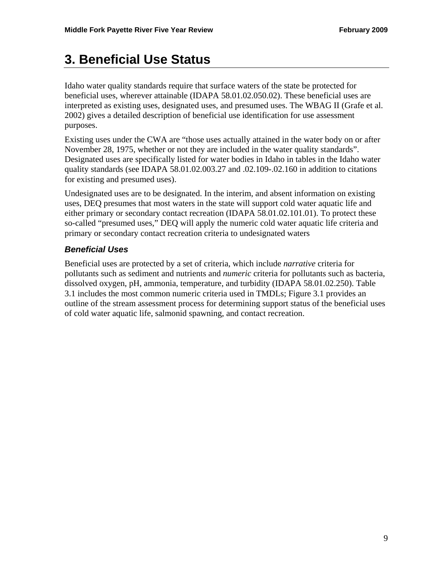# **3. Beneficial Use Status**

Idaho water quality standards require that surface waters of the state be protected for beneficial uses, wherever attainable (IDAPA 58.01.02.050.02). These beneficial uses are interpreted as existing uses, designated uses, and presumed uses. The WBAG II (Grafe et al. 2002) gives a detailed description of beneficial use identification for use assessment purposes.

Existing uses under the CWA are "those uses actually attained in the water body on or after November 28, 1975, whether or not they are included in the water quality standards". Designated uses are specifically listed for water bodies in Idaho in tables in the Idaho water quality standards (see IDAPA 58.01.02.003.27 and .02.109-.02.160 in addition to citations for existing and presumed uses).

Undesignated uses are to be designated. In the interim, and absent information on existing uses, DEQ presumes that most waters in the state will support cold water aquatic life and either primary or secondary contact recreation (IDAPA 58.01.02.101.01). To protect these so-called "presumed uses," DEQ will apply the numeric cold water aquatic life criteria and primary or secondary contact recreation criteria to undesignated waters

## *Beneficial Uses*

Beneficial uses are protected by a set of criteria, which include *narrative* criteria for pollutants such as sediment and nutrients and *numeric* criteria for pollutants such as bacteria, dissolved oxygen, pH, ammonia, temperature, and turbidity (IDAPA 58.01.02.250). Table 3.1 includes the most common numeric criteria used in TMDLs; Figure 3.1 provides an outline of the stream assessment process for determining support status of the beneficial uses of cold water aquatic life, salmonid spawning, and contact recreation.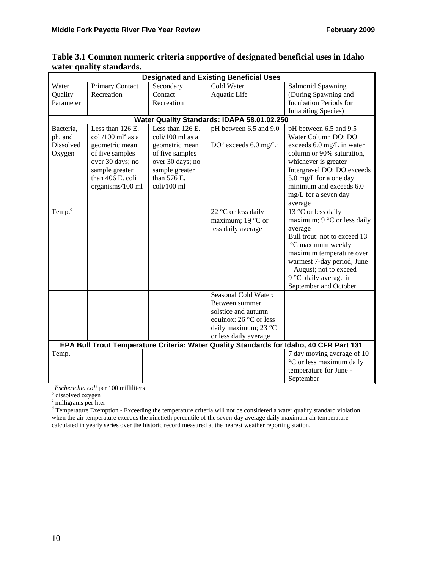| <b>Designated and Existing Beneficial Uses</b> |                                                   |                  |                                             |                                                                                         |
|------------------------------------------------|---------------------------------------------------|------------------|---------------------------------------------|-----------------------------------------------------------------------------------------|
| Water                                          | Primary Contact                                   | Secondary        | Cold Water                                  | Salmonid Spawning                                                                       |
| Quality                                        | Recreation                                        | Contact          | Aquatic Life                                | (During Spawning and                                                                    |
| Parameter                                      |                                                   | Recreation       |                                             | <b>Incubation Periods for</b>                                                           |
|                                                |                                                   |                  |                                             | <b>Inhabiting Species</b> )                                                             |
|                                                |                                                   |                  | Water Quality Standards: IDAPA 58.01.02.250 |                                                                                         |
| Bacteria,                                      | Less than 126 E.                                  | Less than 126 E. | pH between 6.5 and 9.0                      | pH between 6.5 and 9.5                                                                  |
| ph, and                                        | coli/100 ml <sup>a</sup> as a                     | coli/100 ml as a |                                             | Water Column DO: DO                                                                     |
| Dissolved                                      | geometric mean                                    | geometric mean   | $DOb$ exceeds 6.0 mg/ $Lc$                  | exceeds 6.0 mg/L in water                                                               |
| Oxygen                                         | of five samples                                   | of five samples  |                                             | column or 90% saturation,                                                               |
|                                                | over 30 days; no                                  | over 30 days; no |                                             | whichever is greater                                                                    |
|                                                | sample greater                                    | sample greater   |                                             | Intergravel DO: DO exceeds                                                              |
|                                                | than 406 E. coli                                  | than 576 E.      |                                             | 5.0 mg/L for a one day                                                                  |
|                                                | organisms/100 ml                                  | coli/100 ml      |                                             | minimum and exceeds 6.0                                                                 |
|                                                |                                                   |                  |                                             | mg/L for a seven day                                                                    |
|                                                |                                                   |                  |                                             | average                                                                                 |
| Temp. <sup>d</sup>                             |                                                   |                  | 22 °C or less daily                         | 13 °C or less daily                                                                     |
|                                                |                                                   |                  | maximum; 19 $\degree$ C or                  | maximum; $9^{\circ}$ C or less daily                                                    |
|                                                |                                                   |                  | less daily average                          | average                                                                                 |
|                                                |                                                   |                  |                                             | Bull trout: not to exceed 13                                                            |
|                                                |                                                   |                  |                                             | °C maximum weekly                                                                       |
|                                                |                                                   |                  |                                             | maximum temperature over                                                                |
|                                                |                                                   |                  |                                             | warmest 7-day period, June                                                              |
|                                                |                                                   |                  |                                             | - August; not to exceed                                                                 |
|                                                |                                                   |                  |                                             | 9 °C daily average in                                                                   |
|                                                |                                                   |                  |                                             | September and October                                                                   |
|                                                |                                                   |                  | Seasonal Cold Water:                        |                                                                                         |
|                                                |                                                   |                  | Between summer                              |                                                                                         |
|                                                |                                                   |                  | solstice and autumn                         |                                                                                         |
|                                                |                                                   |                  | equinox: $26^{\circ}$ C or less             |                                                                                         |
|                                                |                                                   |                  | daily maximum; 23 °C                        |                                                                                         |
|                                                |                                                   |                  | or less daily average                       |                                                                                         |
|                                                |                                                   |                  |                                             | EPA Bull Trout Temperature Criteria: Water Quality Standards for Idaho, 40 CFR Part 131 |
| Temp.                                          |                                                   |                  |                                             | 7 day moving average of 10                                                              |
|                                                |                                                   |                  |                                             | °C or less maximum daily                                                                |
|                                                |                                                   |                  |                                             | temperature for June -                                                                  |
|                                                |                                                   |                  |                                             | September                                                                               |
|                                                | <sup>a</sup> Escherichia coli per 100 milliliters |                  |                                             |                                                                                         |
| dissolved oxygen                               |                                                   |                  |                                             |                                                                                         |

#### **Table 3.1 Common numeric criteria supportive of designated beneficial uses in Idaho water quality standards.**

<sup>c</sup> milligrams per liter<br><sup>d</sup> Temperature Exemption - Exceeding the temperature criteria will not be considered a water quality standard violation when the air temperature exceeds the ninetieth percentile of the seven-day average daily maximum air temperature calculated in yearly series over the historic record measured at the nearest weather reporting station.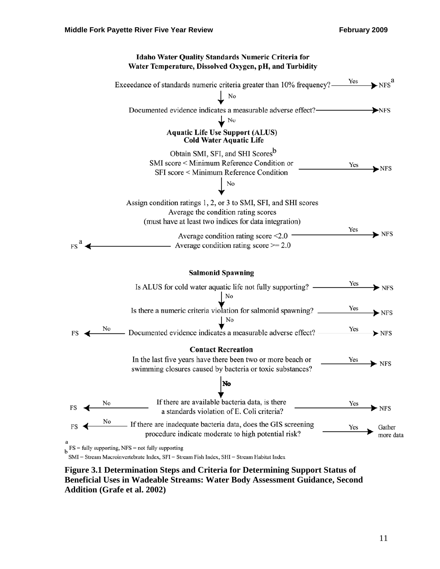

**Figure 3.1 Determination Steps and Criteria for Determining Support Status of Beneficial Uses in Wadeable Streams: Water Body Assessment Guidance, Second Addition (Grafe et al. 2002)**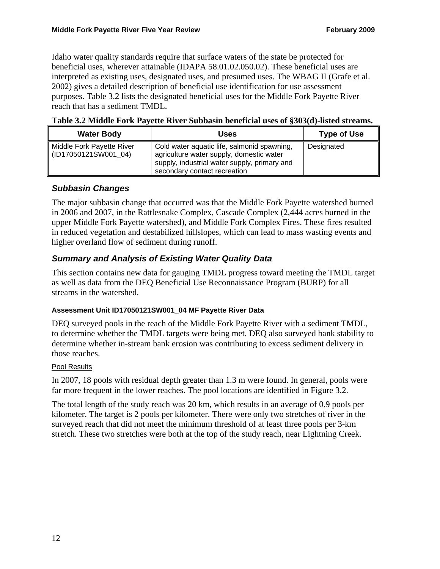Idaho water quality standards require that surface waters of the state be protected for beneficial uses, wherever attainable (IDAPA 58.01.02.050.02). These beneficial uses are interpreted as existing uses, designated uses, and presumed uses. The WBAG II (Grafe et al. 2002) gives a detailed description of beneficial use identification for use assessment purposes. Table 3.2 lists the designated beneficial uses for the Middle Fork Payette River reach that has a sediment TMDL.

| <b>Water Body</b>                                    | Uses                                                                                                                                                                    | <b>Type of Use</b> |
|------------------------------------------------------|-------------------------------------------------------------------------------------------------------------------------------------------------------------------------|--------------------|
| Middle Fork Payette River<br>   (ID17050121SW001_04) | Cold water aquatic life, salmonid spawning,<br>agriculture water supply, domestic water<br>supply, industrial water supply, primary and<br>secondary contact recreation | Designated         |

|  |  | Table 3.2 Middle Fork Payette River Subbasin beneficial uses of §303(d)-listed streams. |
|--|--|-----------------------------------------------------------------------------------------|
|  |  |                                                                                         |

### *Subbasin Changes*

The major subbasin change that occurred was that the Middle Fork Payette watershed burned in 2006 and 2007, in the Rattlesnake Complex, Cascade Complex (2,444 acres burned in the upper Middle Fork Payette watershed), and Middle Fork Complex Fires. These fires resulted in reduced vegetation and destabilized hillslopes, which can lead to mass wasting events and higher overland flow of sediment during runoff.

## *Summary and Analysis of Existing Water Quality Data*

This section contains new data for gauging TMDL progress toward meeting the TMDL target as well as data from the DEQ Beneficial Use Reconnaissance Program (BURP) for all streams in the watershed.

#### **Assessment Unit ID17050121SW001\_04 MF Payette River Data**

DEQ surveyed pools in the reach of the Middle Fork Payette River with a sediment TMDL, to determine whether the TMDL targets were being met. DEQ also surveyed bank stability to determine whether in-stream bank erosion was contributing to excess sediment delivery in those reaches.

#### Pool Results

In 2007, 18 pools with residual depth greater than 1.3 m were found. In general, pools were far more frequent in the lower reaches. The pool locations are identified in Figure 3.2.

The total length of the study reach was 20 km, which results in an average of 0.9 pools per kilometer. The target is 2 pools per kilometer. There were only two stretches of river in the surveyed reach that did not meet the minimum threshold of at least three pools per 3-km stretch. These two stretches were both at the top of the study reach, near Lightning Creek.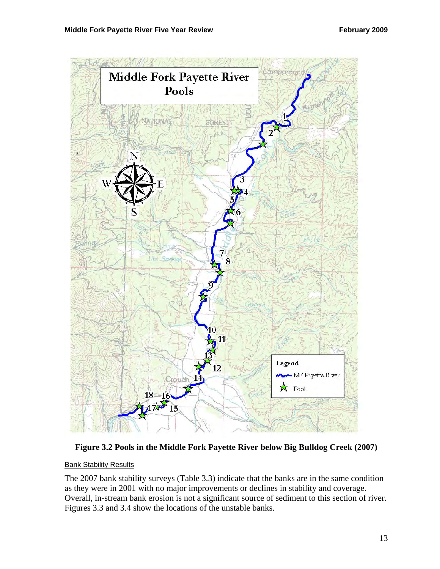

**Figure 3.2 Pools in the Middle Fork Payette River below Big Bulldog Creek (2007)** 

#### **Bank Stability Results**

The 2007 bank stability surveys (Table 3.3) indicate that the banks are in the same condition as they were in 2001 with no major improvements or declines in stability and coverage. Overall, in-stream bank erosion is not a significant source of sediment to this section of river. Figures 3.3 and 3.4 show the locations of the unstable banks.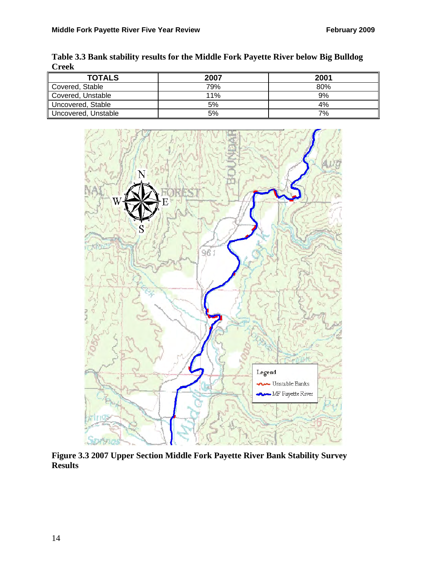| <b>UITER</b>        |      |      |
|---------------------|------|------|
| <b>TOTALS</b>       | 2007 | 2001 |
| Covered, Stable     | 79%  | 80%  |
| Covered, Unstable   | 11%  | 9%   |
| Uncovered, Stable   | 5%   | 4%   |
| Uncovered, Unstable | 5%   | 7%   |

**Table 3.3 Bank stability results for the Middle Fork Payette River below Big Bulldog Creek**



**Figure 3.3 2007 Upper Section Middle Fork Payette River Bank Stability Survey Results**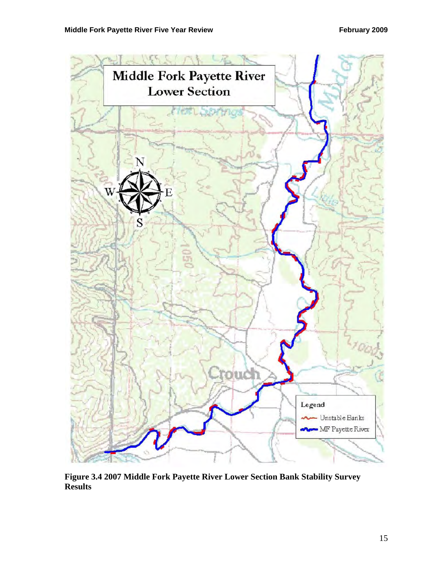

**Figure 3.4 2007 Middle Fork Payette River Lower Section Bank Stability Survey Results**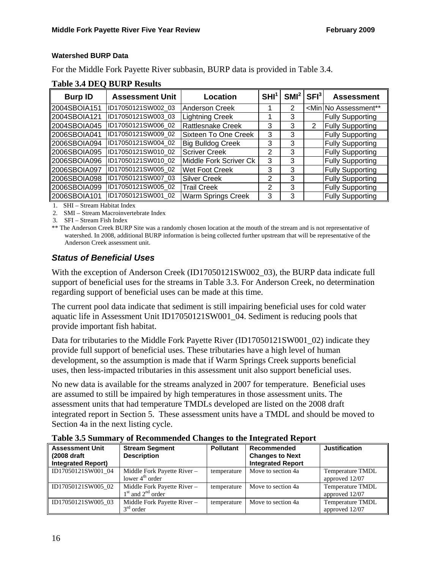#### **Watershed BURP Data**

For the Middle Fork Payette River subbasin, BURP data is provided in Table 3.4.

#### **Table 3.4 DEQ BURP Results**

| <b>Burp ID</b> | <b>Assessment Unit</b> | Location                    | SHI <sup>1</sup> | SMI <sup>2</sup> | <b>SFI</b> <sup>3</sup> | <b>Assessment</b>                        |
|----------------|------------------------|-----------------------------|------------------|------------------|-------------------------|------------------------------------------|
| 2004SBOIA151   | ID17050121SW002_03     | <b>Anderson Creek</b>       |                  | 2                |                         | <min assessment**<="" no="" td=""></min> |
| 2004SBOIA121   | ID17050121SW003_03     | <b>Lightning Creek</b>      |                  | 3                |                         | <b>Fully Supporting</b>                  |
| 2004SBOIA045   | ID17050121SW006_02     | <b>Rattlesnake Creek</b>    | 3                | 3                | 2                       | <b>Fully Supporting</b>                  |
| 2006SBOIA041   | ID17050121SW009_02     | <b>Sixteen To One Creek</b> | 3                | 3                |                         | <b>Fully Supporting</b>                  |
| 2006SBOIA094   | ID17050121SW004_02     | <b>Big Bulldog Creek</b>    | 3                | 3                |                         | <b>Fully Supporting</b>                  |
| 2006SBOIA095   | ID17050121SW010_02     | <b>Scriver Creek</b>        | 2                | 3                |                         | <b>Fully Supporting</b>                  |
| 2006SBOIA096   | ID17050121SW010_02     | Middle Fork Scriver Ck      | 3                | 3                |                         | <b>Fully Supporting</b>                  |
| 2006SBOIA097   | ID17050121SW005_02     | <b>Wet Foot Creek</b>       | 3                | 3                |                         | <b>Fully Supporting</b>                  |
| 2006SBOIA098   | ID17050121SW007_03     | <b>Silver Creek</b>         | 2                | 3                |                         | <b>Fully Supporting</b>                  |
| 2006SBOIA099   | ID17050121SW005_02     | <b>Trail Creek</b>          | 2                | 3                |                         | <b>Fully Supporting</b>                  |
| 2006SBOIA101   | ID17050121SW001_02     | <b>Warm Springs Creek</b>   | 3                | 3                |                         | <b>Fully Supporting</b>                  |

1. SHI – Stream Habitat Index

2. SMI – Stream Macroinvertebrate Index

3. SFI – Stream Fish Index

\*\* The Anderson Creek BURP Site was a randomly chosen location at the mouth of the stream and is not representative of watershed. In 2008, additional BURP information is being collected further upstream that will be representative of the Anderson Creek assessment unit.

## *Status of Beneficial Uses*

With the exception of Anderson Creek (ID17050121SW002\_03), the BURP data indicate full support of beneficial uses for the streams in Table 3.3. For Anderson Creek, no determination regarding support of beneficial uses can be made at this time.

The current pool data indicate that sediment is still impairing beneficial uses for cold water aquatic life in Assessment Unit ID17050121SW001\_04. Sediment is reducing pools that provide important fish habitat.

Data for tributaries to the Middle Fork Payette River (ID17050121SW001\_02) indicate they provide full support of beneficial uses. These tributaries have a high level of human development, so the assumption is made that if Warm Springs Creek supports beneficial uses, then less-impacted tributaries in this assessment unit also support beneficial uses.

No new data is available for the streams analyzed in 2007 for temperature. Beneficial uses are assumed to still be impaired by high temperatures in those assessment units. The assessment units that had temperature TMDLs developed are listed on the 2008 draft integrated report in Section 5. These assessment units have a TMDL and should be moved to Section 4a in the next listing cycle.

| <b>Assessment Unit</b><br>(2008 draft<br><b>Integrated Report)</b> | <b>Stream Segment</b><br><b>Description</b> | <b>Pollutant</b> | Recommended<br><b>Changes to Next</b><br><b>Integrated Report</b> | <b>Justification</b>    |
|--------------------------------------------------------------------|---------------------------------------------|------------------|-------------------------------------------------------------------|-------------------------|
|                                                                    |                                             |                  |                                                                   |                         |
| ID17050121SW001_04                                                 | Middle Fork Payette River -                 | temperature      | Move to section 4a                                                | <b>Temperature TMDL</b> |
|                                                                    | lower $4th$ order                           |                  |                                                                   | approved 12/07          |
| ID17050121SW005 02                                                 | Middle Fork Payette River -                 | temperature      | Move to section 4a                                                | <b>Temperature TMDL</b> |
|                                                                    | $1st$ and $2nd$ order                       |                  |                                                                   | approved 12/07          |
| ID17050121SW005 03                                                 | Middle Fork Payette River -                 | temperature      | Move to section 4a                                                | <b>Temperature TMDL</b> |
|                                                                    | $3rd$ order                                 |                  |                                                                   | approved 12/07          |

**Table 3.5 Summary of Recommended Changes to the Integrated Report**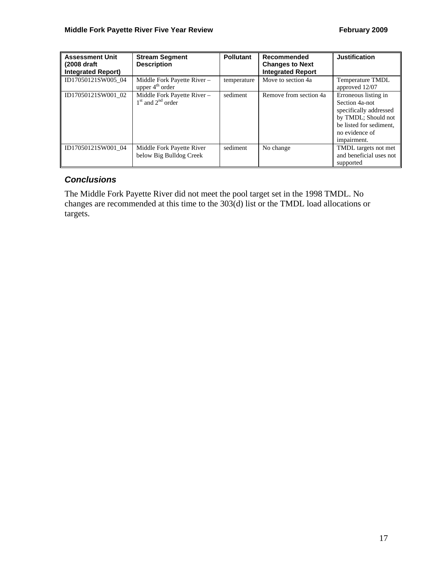| <b>Assessment Unit</b><br>(2008 draft)<br><b>Integrated Report)</b> | <b>Stream Segment</b><br><b>Description</b>                | <b>Pollutant</b> | Recommended<br><b>Changes to Next</b><br><b>Integrated Report</b> | <b>Justification</b>                                                                                                                                |
|---------------------------------------------------------------------|------------------------------------------------------------|------------------|-------------------------------------------------------------------|-----------------------------------------------------------------------------------------------------------------------------------------------------|
| ID17050121SW005 04                                                  | Middle Fork Payette River -<br>upper $4^{\text{th}}$ order | temperature      | Move to section 4a                                                | <b>Temperature TMDL</b><br>approved 12/07                                                                                                           |
| ID17050121SW001 02                                                  | Middle Fork Payette River -<br>$1st$ and $2nd$ order       | sediment         | Remove from section 4a                                            | Erroneous listing in<br>Section 4a-not<br>specifically addressed<br>by TMDL; Should not<br>be listed for sediment.<br>no evidence of<br>impairment. |
| ID17050121SW001 04                                                  | Middle Fork Payette River<br>below Big Bulldog Creek       | sediment         | No change                                                         | TMDL targets not met<br>and beneficial uses not<br>supported                                                                                        |

## *Conclusions*

The Middle Fork Payette River did not meet the pool target set in the 1998 TMDL. No changes are recommended at this time to the 303(d) list or the TMDL load allocations or targets.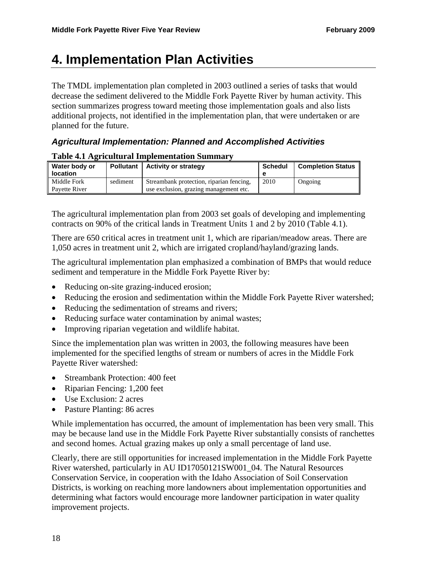# **4. Implementation Plan Activities**

The TMDL implementation plan completed in 2003 outlined a series of tasks that would decrease the sediment delivered to the Middle Fork Payette River by human activity. This section summarizes progress toward meeting those implementation goals and also lists additional projects, not identified in the implementation plan, that were undertaken or are planned for the future.

## *Agricultural Implementation: Planned and Accomplished Activities*

### **Table 4.1 Agricultural Implementation Summary**

| Water body or<br><b>location</b> | <b>Pollutant</b> | <b>Activity or strategy</b>                                                        | <b>Schedul</b><br>е | <b>Completion Status</b> |
|----------------------------------|------------------|------------------------------------------------------------------------------------|---------------------|--------------------------|
| Middle Fork<br>Pavette River     | sediment         | Streambank protection, riparian fencing,<br>use exclusion, grazing management etc. | 2010                | Ongoing                  |

The agricultural implementation plan from 2003 set goals of developing and implementing contracts on 90% of the critical lands in Treatment Units 1 and 2 by 2010 (Table 4.1).

There are 650 critical acres in treatment unit 1, which are riparian/meadow areas. There are 1,050 acres in treatment unit 2, which are irrigated cropland/hayland/grazing lands.

The agricultural implementation plan emphasized a combination of BMPs that would reduce sediment and temperature in the Middle Fork Payette River by:

- Reducing on-site grazing-induced erosion;
- Reducing the erosion and sedimentation within the Middle Fork Payette River watershed;
- Reducing the sedimentation of streams and rivers;
- Reducing surface water contamination by animal wastes;
- Improving riparian vegetation and wildlife habitat.

Since the implementation plan was written in 2003, the following measures have been implemented for the specified lengths of stream or numbers of acres in the Middle Fork Payette River watershed:

- Streambank Protection: 400 feet
- Riparian Fencing: 1,200 feet
- Use Exclusion: 2 acres
- Pasture Planting: 86 acres

While implementation has occurred, the amount of implementation has been very small. This may be because land use in the Middle Fork Payette River substantially consists of ranchettes and second homes. Actual grazing makes up only a small percentage of land use.

Clearly, there are still opportunities for increased implementation in the Middle Fork Payette River watershed, particularly in AU ID17050121SW001\_04. The Natural Resources Conservation Service, in cooperation with the Idaho Association of Soil Conservation Districts, is working on reaching more landowners about implementation opportunities and determining what factors would encourage more landowner participation in water quality improvement projects.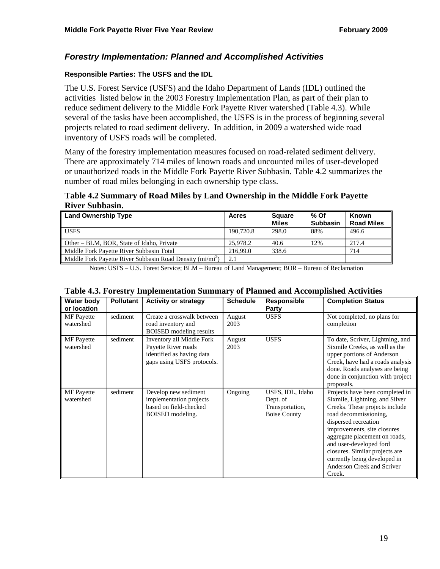#### *Forestry Implementation: Planned and Accomplished Activities*

#### **Responsible Parties: The USFS and the IDL**

The U.S. Forest Service (USFS) and the Idaho Department of Lands (IDL) outlined the activities listed below in the 2003 Forestry Implementation Plan, as part of their plan to reduce sediment delivery to the Middle Fork Payette River watershed (Table 4.3). While several of the tasks have been accomplished, the USFS is in the process of beginning several projects related to road sediment delivery. In addition, in 2009 a watershed wide road inventory of USFS roads will be completed.

Many of the forestry implementation measures focused on road-related sediment delivery. There are approximately 714 miles of known roads and uncounted miles of user-developed or unauthorized roads in the Middle Fork Payette River Subbasin. Table 4.2 summarizes the number of road miles belonging in each ownership type class.

#### **Table 4.2 Summary of Road Miles by Land Ownership in the Middle Fork Payette River Subbasin.**

| Land Ownership Type                                         | Acres     | <b>Square</b><br><b>Miles</b> | % Of<br><b>Subbasin</b> | Known<br><b>Road Miles</b> |
|-------------------------------------------------------------|-----------|-------------------------------|-------------------------|----------------------------|
| <b>USES</b>                                                 | 190,720.8 | 298.0                         | 88%                     | 496.6                      |
| Other – BLM, BOR, State of Idaho, Private                   | 25,978.2  | 40.6                          | 12%                     | 217.4                      |
| Middle Fork Payette River Subbasin Total                    | 216.99.0  | 338.6                         |                         | 714                        |
| Middle Fork Payette River Subbasin Road Density $(mi/mi^2)$ | 2.1       |                               |                         |                            |

Notes: USFS – U.S. Forest Service; BLM – Bureau of Land Management; BOR – Bureau of Reclamation

| Water body<br>or location      | <b>Pollutant</b> | <b>Activity or strategy</b>                                                                                 | <b>Schedule</b> | Responsible<br>Party                                                   | <b>Completion Status</b>                                                                                                                                                                                                                                                                                                                                  |
|--------------------------------|------------------|-------------------------------------------------------------------------------------------------------------|-----------------|------------------------------------------------------------------------|-----------------------------------------------------------------------------------------------------------------------------------------------------------------------------------------------------------------------------------------------------------------------------------------------------------------------------------------------------------|
| <b>MF</b> Payette<br>watershed | sediment         | Create a crosswalk between<br>road inventory and<br><b>BOISED</b> modeling results                          | August<br>2003  | <b>USFS</b>                                                            | Not completed, no plans for<br>completion                                                                                                                                                                                                                                                                                                                 |
| <b>MF</b> Payette<br>watershed | sediment         | Inventory all Middle Fork<br>Payette River roads<br>identified as having data<br>gaps using USFS protocols. | August<br>2003  | <b>USFS</b>                                                            | To date, Scriver, Lightning, and<br>Sixmile Creeks, as well as the<br>upper portions of Anderson<br>Creek, have had a roads analysis<br>done. Roads analyses are being<br>done in conjunction with project<br>proposals.                                                                                                                                  |
| <b>MF</b> Payette<br>watershed | sediment         | Develop new sediment<br>implementation projects<br>based on field-checked<br>BOISED modeling.               | Ongoing         | USFS, IDL, Idaho<br>Dept. of<br>Transportation,<br><b>Boise County</b> | Projects have been completed in<br>Sixmile, Lightning, and Silver<br>Creeks. These projects include<br>road decommissioning,<br>dispersed recreation<br>improvements, site closures<br>aggregate placement on roads,<br>and user-developed ford<br>closures. Similar projects are<br>currently being developed in<br>Anderson Creek and Scriver<br>Creek. |

#### **Table 4.3. Forestry Implementation Summary of Planned and Accomplished Activities**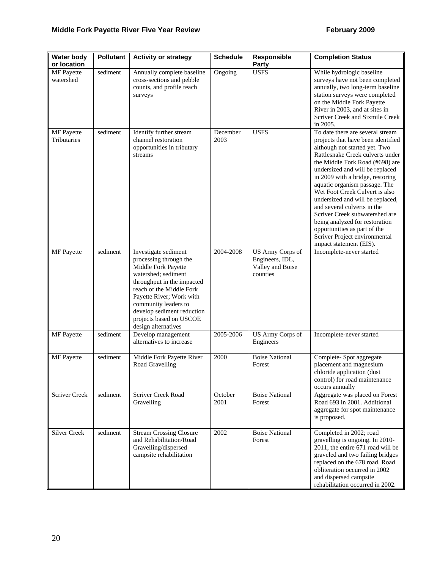| <b>Water body</b><br>or location | <b>Pollutant</b> | <b>Activity or strategy</b>                                                                                                                                                                                                                                                                | <b>Schedule</b>  | Responsible<br><b>Party</b>                                         | <b>Completion Status</b>                                                                                                                                                                                                                                                                                                                                                                                                                                                                                                                                    |
|----------------------------------|------------------|--------------------------------------------------------------------------------------------------------------------------------------------------------------------------------------------------------------------------------------------------------------------------------------------|------------------|---------------------------------------------------------------------|-------------------------------------------------------------------------------------------------------------------------------------------------------------------------------------------------------------------------------------------------------------------------------------------------------------------------------------------------------------------------------------------------------------------------------------------------------------------------------------------------------------------------------------------------------------|
| <b>MF</b> Payette<br>watershed   | sediment         | Annually complete baseline<br>cross-sections and pebble<br>counts, and profile reach<br>surveys                                                                                                                                                                                            | Ongoing          | <b>USFS</b>                                                         | While hydrologic baseline<br>surveys have not been completed<br>annually, two long-term baseline<br>station surveys were completed<br>on the Middle Fork Payette<br>River in 2003, and at sites in<br>Scriver Creek and Sixmile Creek<br>in 2005.                                                                                                                                                                                                                                                                                                           |
| <b>MF</b> Payette<br>Tributaries | sediment         | Identify further stream<br>channel restoration<br>opportunities in tributary<br>streams                                                                                                                                                                                                    | December<br>2003 | <b>USFS</b>                                                         | To date there are several stream<br>projects that have been identified<br>although not started yet. Two<br>Rattlesnake Creek culverts under<br>the Middle Fork Road (#698) are<br>undersized and will be replaced<br>in 2009 with a bridge, restoring<br>aquatic organism passage. The<br>Wet Foot Creek Culvert is also<br>undersized and will be replaced,<br>and several culverts in the<br>Scriver Creek subwatershed are<br>being analyzed for restoration<br>opportunities as part of the<br>Scriver Project environmental<br>impact statement (EIS). |
| MF Payette                       | sediment         | Investigate sediment<br>processing through the<br>Middle Fork Payette<br>watershed; sediment<br>throughput in the impacted<br>reach of the Middle Fork<br>Payette River; Work with<br>community leaders to<br>develop sediment reduction<br>projects based on USCOE<br>design alternatives | 2004-2008        | US Army Corps of<br>Engineers, IDL,<br>Valley and Boise<br>counties | Incomplete-never started                                                                                                                                                                                                                                                                                                                                                                                                                                                                                                                                    |
| MF Payette                       | sediment         | Develop management<br>alternatives to increase                                                                                                                                                                                                                                             | 2005-2006        | US Army Corps of<br>Engineers                                       | Incomplete-never started                                                                                                                                                                                                                                                                                                                                                                                                                                                                                                                                    |
| <b>MF</b> Payette                | sediment         | Middle Fork Payette River<br>Road Gravelling                                                                                                                                                                                                                                               | 2000             | <b>Boise National</b><br>Forest                                     | Complete-Spot aggregate<br>placement and magnesium<br>chloride application (dust)<br>control) for road maintenance<br>occurs annually                                                                                                                                                                                                                                                                                                                                                                                                                       |
| <b>Scriver Creek</b>             | sediment         | <b>Scriver Creek Road</b><br>Gravelling                                                                                                                                                                                                                                                    | October<br>2001  | <b>Boise National</b><br>Forest                                     | Aggregate was placed on Forest<br>Road 693 in 2001. Additional<br>aggregate for spot maintenance<br>is proposed.                                                                                                                                                                                                                                                                                                                                                                                                                                            |
| <b>Silver Creek</b>              | sediment         | <b>Stream Crossing Closure</b><br>and Rehabilitation/Road<br>Gravelling/dispersed<br>campsite rehabilitation                                                                                                                                                                               | 2002             | <b>Boise National</b><br>Forest                                     | Completed in 2002; road<br>gravelling is ongoing. In 2010-<br>2011, the entire 671 road will be<br>graveled and two failing bridges<br>replaced on the 678 road. Road<br>obliteration occurred in 2002<br>and dispersed campsite<br>rehabilitation occurred in 2002.                                                                                                                                                                                                                                                                                        |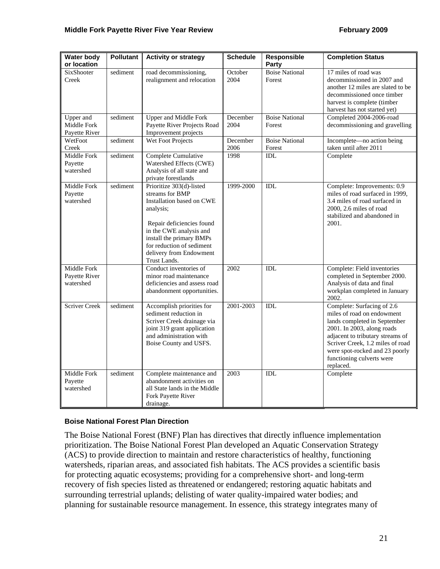| <b>Water body</b><br>or location          | <b>Pollutant</b> | <b>Activity or strategy</b>                                                                                                                                                                                                                       | <b>Schedule</b>  | <b>Responsible</b><br>Party     | <b>Completion Status</b>                                                                                                                                                                                                                                                   |
|-------------------------------------------|------------------|---------------------------------------------------------------------------------------------------------------------------------------------------------------------------------------------------------------------------------------------------|------------------|---------------------------------|----------------------------------------------------------------------------------------------------------------------------------------------------------------------------------------------------------------------------------------------------------------------------|
| <b>SixShooter</b><br>Creek                | sediment         | road decommissioning,<br>realignment and relocation                                                                                                                                                                                               | October<br>2004  | <b>Boise National</b><br>Forest | 17 miles of road was<br>decommissioned in 2007 and<br>another 12 miles are slated to be<br>decommissioned once timber<br>harvest is complete (timber<br>harvest has not started yet)                                                                                       |
| Upper and<br>Middle Fork<br>Payette River | sediment         | <b>Upper and Middle Fork</b><br>Payette River Projects Road<br>Improvement projects                                                                                                                                                               | December<br>2004 | <b>Boise National</b><br>Forest | Completed 2004-2006-road<br>decommissioning and gravelling                                                                                                                                                                                                                 |
| WetFoot<br>Creek                          | sediment         | Wet Foot Projects                                                                                                                                                                                                                                 | December<br>2006 | <b>Boise National</b><br>Forest | Incomplete-no action being<br>taken until after 2011                                                                                                                                                                                                                       |
| Middle Fork<br>Payette<br>watershed       | sediment         | Complete Cumulative<br>Watershed Effects (CWE)<br>Analysis of all state and<br>private forestlands                                                                                                                                                | 1998             | IDL                             | Complete                                                                                                                                                                                                                                                                   |
| Middle Fork<br>Payette<br>watershed       | sediment         | Prioritize 303(d)-listed<br>streams for BMP<br>Installation based on CWE<br>analysis;<br>Repair deficiencies found<br>in the CWE analysis and<br>install the primary BMPs<br>for reduction of sediment<br>delivery from Endowment<br>Trust Lands. | 1999-2000        | IDL                             | Complete: Improvements: 0.9<br>miles of road surfaced in 1999,<br>3.4 miles of road surfaced in<br>2000, 2.6 miles of road<br>stabilized and abandoned in<br>2001.                                                                                                         |
| Middle Fork<br>Payette River<br>watershed |                  | Conduct inventories of<br>minor road maintenance<br>deficiencies and assess road<br>abandonment opportunities.                                                                                                                                    | 2002             | IDL                             | Complete: Field inventories<br>completed in September 2000.<br>Analysis of data and final<br>workplan completed in January<br>2002.                                                                                                                                        |
| <b>Scriver Creek</b>                      | sediment         | Accomplish priorities for<br>sediment reduction in<br>Scriver Creek drainage via<br>joint 319 grant application<br>and administration with<br>Boise County and USFS.                                                                              | 2001-2003        | IDL                             | Complete: Surfacing of 2.6<br>miles of road on endowment<br>lands completed in September<br>2001. In 2003, along roads<br>adjacent to tributary streams of<br>Scriver Creek, 1.2 miles of road<br>were spot-rocked and 23 poorly<br>functioning culverts were<br>replaced. |
| Middle Fork<br>Payette<br>watershed       | sediment         | Complete maintenance and<br>abandonment activities on<br>all State lands in the Middle<br>Fork Payette River<br>drainage.                                                                                                                         | 2003             | IDL                             | Complete                                                                                                                                                                                                                                                                   |

#### **Boise National Forest Plan Direction**

The Boise National Forest (BNF) Plan has directives that directly influence implementation prioritization. The Boise National Forest Plan developed an Aquatic Conservation Strategy (ACS) to provide direction to maintain and restore characteristics of healthy, functioning watersheds, riparian areas, and associated fish habitats. The ACS provides a scientific basis for protecting aquatic ecosystems; providing for a comprehensive short- and long-term recovery of fish species listed as threatened or endangered; restoring aquatic habitats and surrounding terrestrial uplands; delisting of water quality-impaired water bodies; and planning for sustainable resource management. In essence, this strategy integrates many of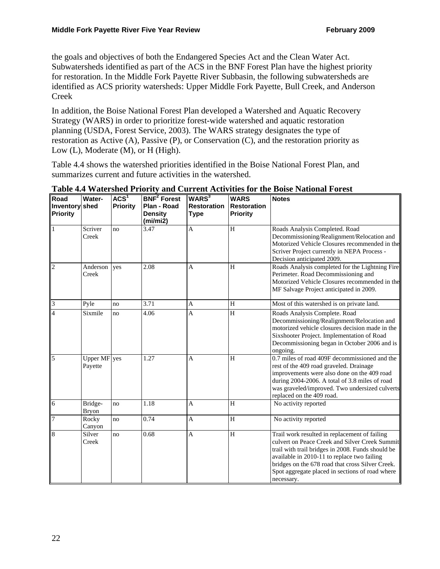the goals and objectives of both the Endangered Species Act and the Clean Water Act. Subwatersheds identified as part of the ACS in the BNF Forest Plan have the highest priority for restoration. In the Middle Fork Payette River Subbasin, the following subwatersheds are identified as ACS priority watersheds: Upper Middle Fork Payette, Bull Creek, and Anderson Creek

In addition, the Boise National Forest Plan developed a Watershed and Aquatic Recovery Strategy (WARS) in order to prioritize forest-wide watershed and aquatic restoration planning (USDA, Forest Service, 2003). The WARS strategy designates the type of restoration as Active (A), Passive (P), or Conservation (C), and the restoration priority as Low (L), Moderate (M), or H (High).

Table 4.4 shows the watershed priorities identified in the Boise National Forest Plan, and summarizes current and future activities in the watershed.

| Road<br>Inventory shed<br><b>Priority</b> | Water-                  | ACS <sup>1</sup><br><b>Priority</b> | <b>BNF<sup>2</sup></b> Forest<br>Plan - Road<br><b>Density</b><br>(mi/mi2) | WARS <sup>3</sup><br><b>Restoration</b><br><b>Type</b> | <b>WARS</b><br><b>Restoration</b><br><b>Priority</b> | <b>Notes</b>                                                                                                                                                                                                                                                                                                             |
|-------------------------------------------|-------------------------|-------------------------------------|----------------------------------------------------------------------------|--------------------------------------------------------|------------------------------------------------------|--------------------------------------------------------------------------------------------------------------------------------------------------------------------------------------------------------------------------------------------------------------------------------------------------------------------------|
| $\mathbf{1}$                              | Scriver<br>Creek        | no                                  | 3.47                                                                       | A                                                      | $\rm H$                                              | Roads Analysis Completed. Road<br>Decommissioning/Realignment/Relocation and<br>Motorized Vehicle Closures recommended in the<br>Scriver Project currently in NEPA Process -<br>Decision anticipated 2009.                                                                                                               |
| $\overline{2}$                            | Anderson<br>Creek       | yes                                 | 2.08                                                                       | A                                                      | H                                                    | Roads Analysis completed for the Lightning Fire<br>Perimeter. Road Decommissioning and<br>Motorized Vehicle Closures recommended in the<br>MF Salvage Project anticipated in 2009.                                                                                                                                       |
| $\overline{3}$                            | Pyle                    | no                                  | 3.71                                                                       | A                                                      | H                                                    | Most of this watershed is on private land.                                                                                                                                                                                                                                                                               |
| $\overline{4}$                            | Sixmile                 | no                                  | 4.06                                                                       | A                                                      | H                                                    | Roads Analysis Complete. Road<br>Decommissioning/Realignment/Relocation and<br>motorized vehicle closures decision made in the<br>Sixshooter Project. Implementation of Road<br>Decommissioning began in October 2006 and is<br>ongoing.                                                                                 |
| 5                                         | Upper MF yes<br>Payette |                                     | 1.27                                                                       | A                                                      | H                                                    | 0.7 miles of road 409F decommissioned and the<br>rest of the 409 road graveled. Drainage<br>improvements were also done on the 409 road<br>during 2004-2006. A total of 3.8 miles of road<br>was graveled/improved. Two undersized culverts<br>replaced on the 409 road.                                                 |
| 6                                         | Bridge-<br><b>Bryon</b> | no                                  | 1.18                                                                       | A                                                      | H                                                    | No activity reported                                                                                                                                                                                                                                                                                                     |
| 7                                         | Rocky<br>Canyon         | no                                  | 0.74                                                                       | A                                                      | $\rm H$                                              | No activity reported                                                                                                                                                                                                                                                                                                     |
| $\overline{8}$                            | Silver<br>Creek         | no                                  | 0.68                                                                       | A                                                      | $\rm H$                                              | Trail work resulted in replacement of failing<br>culvert on Peace Creek and Silver Creek Summit<br>trail with trail bridges in 2008. Funds should be<br>available in 2010-11 to replace two failing<br>bridges on the 678 road that cross Silver Creek.<br>Spot aggregate placed in sections of road where<br>necessary. |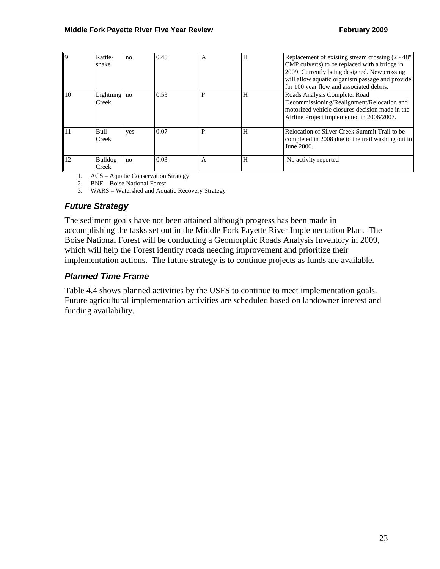| $\mathbf Q$ | Rattle-<br>snake      | no  | 0.45 | A | H | Replacement of existing stream crossing (2 - 48"<br>CMP culverts) to be replaced with a bridge in<br>2009. Currently being designed. New crossing<br>will allow aquatic organism passage and provide                    |
|-------------|-----------------------|-----|------|---|---|-------------------------------------------------------------------------------------------------------------------------------------------------------------------------------------------------------------------------|
| 10          | Lightning no<br>Creek |     | 0.53 | P | H | for 100 year flow and associated debris.<br>Roads Analysis Complete. Road<br>Decommissioning/Realignment/Relocation and<br>motorized vehicle closures decision made in the<br>Airline Project implemented in 2006/2007. |
| 11          | Bull<br>Creek         | yes | 0.07 | P | H | Relocation of Silver Creek Summit Trail to be<br>completed in 2008 due to the trail washing out in<br>June 2006.                                                                                                        |
| 12          | Bulldog<br>Creek      | no  | 0.03 | A | H | No activity reported                                                                                                                                                                                                    |

1. ACS – Aquatic Conservation Strategy

2. BNF – Boise National Forest

3. WARS – Watershed and Aquatic Recovery Strategy

#### *Future Strategy*

The sediment goals have not been attained although progress has been made in accomplishing the tasks set out in the Middle Fork Payette River Implementation Plan. The Boise National Forest will be conducting a Geomorphic Roads Analysis Inventory in 2009, which will help the Forest identify roads needing improvement and prioritize their implementation actions. The future strategy is to continue projects as funds are available.

#### *Planned Time Frame*

Table 4.4 shows planned activities by the USFS to continue to meet implementation goals. Future agricultural implementation activities are scheduled based on landowner interest and funding availability.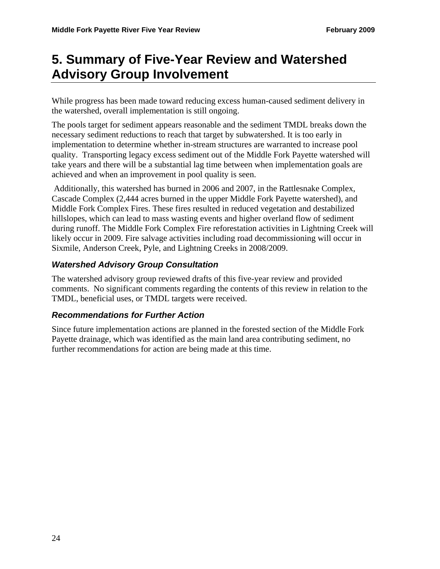# **5. Summary of Five-Year Review and Watershed Advisory Group Involvement**

While progress has been made toward reducing excess human-caused sediment delivery in the watershed, overall implementation is still ongoing.

The pools target for sediment appears reasonable and the sediment TMDL breaks down the necessary sediment reductions to reach that target by subwatershed. It is too early in implementation to determine whether in-stream structures are warranted to increase pool quality. Transporting legacy excess sediment out of the Middle Fork Payette watershed will take years and there will be a substantial lag time between when implementation goals are achieved and when an improvement in pool quality is seen.

 Additionally, this watershed has burned in 2006 and 2007, in the Rattlesnake Complex, Cascade Complex (2,444 acres burned in the upper Middle Fork Payette watershed), and Middle Fork Complex Fires. These fires resulted in reduced vegetation and destabilized hillslopes, which can lead to mass wasting events and higher overland flow of sediment during runoff. The Middle Fork Complex Fire reforestation activities in Lightning Creek will likely occur in 2009. Fire salvage activities including road decommissioning will occur in Sixmile, Anderson Creek, Pyle, and Lightning Creeks in 2008/2009.

## *Watershed Advisory Group Consultation*

The watershed advisory group reviewed drafts of this five-year review and provided comments. No significant comments regarding the contents of this review in relation to the TMDL, beneficial uses, or TMDL targets were received.

#### *Recommendations for Further Action*

Since future implementation actions are planned in the forested section of the Middle Fork Payette drainage, which was identified as the main land area contributing sediment, no further recommendations for action are being made at this time.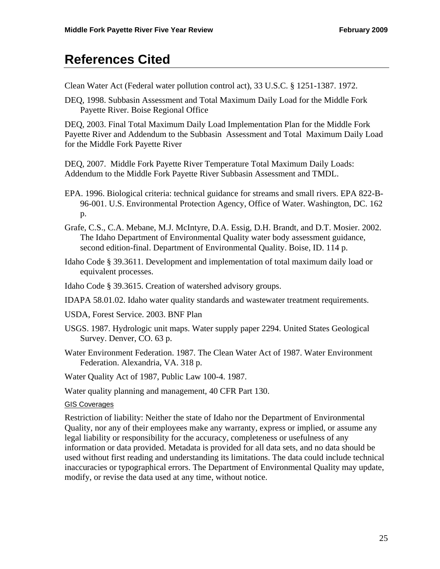## **References Cited**

Clean Water Act (Federal water pollution control act), 33 U.S.C. § 1251-1387. 1972.

DEQ, 1998. Subbasin Assessment and Total Maximum Daily Load for the Middle Fork Payette River. Boise Regional Office

DEQ, 2003. Final Total Maximum Daily Load Implementation Plan for the Middle Fork Payette River and Addendum to the Subbasin Assessment and Total Maximum Daily Load for the Middle Fork Payette River

DEQ, 2007. Middle Fork Payette River Temperature Total Maximum Daily Loads: Addendum to the Middle Fork Payette River Subbasin Assessment and TMDL.

- EPA. 1996. Biological criteria: technical guidance for streams and small rivers. EPA 822-B-96-001. U.S. Environmental Protection Agency, Office of Water. Washington, DC. 162 p.
- Grafe, C.S., C.A. Mebane, M.J. McIntyre, D.A. Essig, D.H. Brandt, and D.T. Mosier. 2002. The Idaho Department of Environmental Quality water body assessment guidance, second edition-final. Department of Environmental Quality. Boise, ID. 114 p.
- Idaho Code § 39.3611. Development and implementation of total maximum daily load or equivalent processes.
- Idaho Code § 39.3615. Creation of watershed advisory groups.
- IDAPA 58.01.02. Idaho water quality standards and wastewater treatment requirements.
- USDA, Forest Service. 2003. BNF Plan
- USGS. 1987. Hydrologic unit maps. Water supply paper 2294. United States Geological Survey. Denver, CO. 63 p.
- Water Environment Federation. 1987. The Clean Water Act of 1987. Water Environment Federation. Alexandria, VA. 318 p.

Water Quality Act of 1987, Public Law 100-4. 1987.

Water quality planning and management, 40 CFR Part 130.

#### GIS Coverages

Restriction of liability: Neither the state of Idaho nor the Department of Environmental Quality, nor any of their employees make any warranty, express or implied, or assume any legal liability or responsibility for the accuracy, completeness or usefulness of any information or data provided. Metadata is provided for all data sets, and no data should be used without first reading and understanding its limitations. The data could include technical inaccuracies or typographical errors. The Department of Environmental Quality may update, modify, or revise the data used at any time, without notice.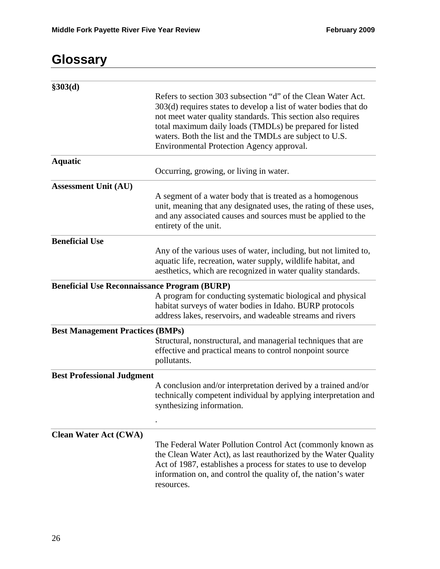# **Glossary**

| \$303(d)                                            |                                                                                                                                                                                                                                                                                                                                                                      |
|-----------------------------------------------------|----------------------------------------------------------------------------------------------------------------------------------------------------------------------------------------------------------------------------------------------------------------------------------------------------------------------------------------------------------------------|
|                                                     | Refers to section 303 subsection "d" of the Clean Water Act.<br>303(d) requires states to develop a list of water bodies that do<br>not meet water quality standards. This section also requires<br>total maximum daily loads (TMDLs) be prepared for listed<br>waters. Both the list and the TMDLs are subject to U.S.<br>Environmental Protection Agency approval. |
| <b>Aquatic</b>                                      |                                                                                                                                                                                                                                                                                                                                                                      |
|                                                     | Occurring, growing, or living in water.                                                                                                                                                                                                                                                                                                                              |
| <b>Assessment Unit (AU)</b>                         |                                                                                                                                                                                                                                                                                                                                                                      |
|                                                     | A segment of a water body that is treated as a homogenous<br>unit, meaning that any designated uses, the rating of these uses,<br>and any associated causes and sources must be applied to the<br>entirety of the unit.                                                                                                                                              |
| <b>Beneficial Use</b>                               |                                                                                                                                                                                                                                                                                                                                                                      |
|                                                     | Any of the various uses of water, including, but not limited to,<br>aquatic life, recreation, water supply, wildlife habitat, and<br>aesthetics, which are recognized in water quality standards.                                                                                                                                                                    |
| <b>Beneficial Use Reconnaissance Program (BURP)</b> |                                                                                                                                                                                                                                                                                                                                                                      |
|                                                     | A program for conducting systematic biological and physical<br>habitat surveys of water bodies in Idaho. BURP protocols<br>address lakes, reservoirs, and wadeable streams and rivers                                                                                                                                                                                |
| <b>Best Management Practices (BMPs)</b>             |                                                                                                                                                                                                                                                                                                                                                                      |
|                                                     | Structural, nonstructural, and managerial techniques that are<br>effective and practical means to control nonpoint source<br>pollutants.                                                                                                                                                                                                                             |
| <b>Best Professional Judgment</b>                   |                                                                                                                                                                                                                                                                                                                                                                      |
|                                                     | A conclusion and/or interpretation derived by a trained and/or<br>technically competent individual by applying interpretation and<br>synthesizing information.                                                                                                                                                                                                       |
|                                                     |                                                                                                                                                                                                                                                                                                                                                                      |
| <b>Clean Water Act (CWA)</b>                        | The Federal Water Pollution Control Act (commonly known as<br>the Clean Water Act), as last reauthorized by the Water Quality<br>Act of 1987, establishes a process for states to use to develop<br>information on, and control the quality of, the nation's water<br>resources.                                                                                     |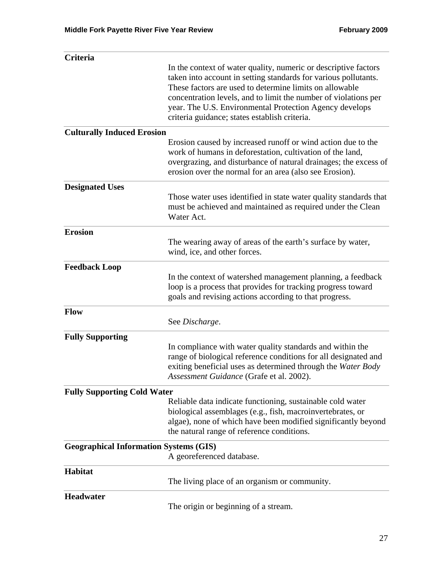| Criteria                                      |                                                                                                                                                                                                                                                                                                                                                                              |
|-----------------------------------------------|------------------------------------------------------------------------------------------------------------------------------------------------------------------------------------------------------------------------------------------------------------------------------------------------------------------------------------------------------------------------------|
|                                               | In the context of water quality, numeric or descriptive factors<br>taken into account in setting standards for various pollutants.<br>These factors are used to determine limits on allowable<br>concentration levels, and to limit the number of violations per<br>year. The U.S. Environmental Protection Agency develops<br>criteria guidance; states establish criteria. |
| <b>Culturally Induced Erosion</b>             |                                                                                                                                                                                                                                                                                                                                                                              |
|                                               | Erosion caused by increased runoff or wind action due to the<br>work of humans in deforestation, cultivation of the land,<br>overgrazing, and disturbance of natural drainages; the excess of<br>erosion over the normal for an area (also see Erosion).                                                                                                                     |
| <b>Designated Uses</b>                        |                                                                                                                                                                                                                                                                                                                                                                              |
|                                               | Those water uses identified in state water quality standards that<br>must be achieved and maintained as required under the Clean<br>Water Act.                                                                                                                                                                                                                               |
| <b>Erosion</b>                                |                                                                                                                                                                                                                                                                                                                                                                              |
|                                               | The wearing away of areas of the earth's surface by water,<br>wind, ice, and other forces.                                                                                                                                                                                                                                                                                   |
| <b>Feedback Loop</b>                          |                                                                                                                                                                                                                                                                                                                                                                              |
|                                               | In the context of watershed management planning, a feedback<br>loop is a process that provides for tracking progress toward<br>goals and revising actions according to that progress.                                                                                                                                                                                        |
| <b>Flow</b>                                   | See Discharge.                                                                                                                                                                                                                                                                                                                                                               |
| <b>Fully Supporting</b>                       |                                                                                                                                                                                                                                                                                                                                                                              |
|                                               | In compliance with water quality standards and within the<br>range of biological reference conditions for all designated and<br>exiting beneficial uses as determined through the Water Body<br>Assessment Guidance (Grafe et al. 2002).                                                                                                                                     |
| <b>Fully Supporting Cold Water</b>            |                                                                                                                                                                                                                                                                                                                                                                              |
|                                               | Reliable data indicate functioning, sustainable cold water<br>biological assemblages (e.g., fish, macroinvertebrates, or<br>algae), none of which have been modified significantly beyond<br>the natural range of reference conditions.                                                                                                                                      |
| <b>Geographical Information Systems (GIS)</b> | A georeferenced database.                                                                                                                                                                                                                                                                                                                                                    |
| <b>Habitat</b>                                | The living place of an organism or community.                                                                                                                                                                                                                                                                                                                                |
| <b>Headwater</b>                              | The origin or beginning of a stream.                                                                                                                                                                                                                                                                                                                                         |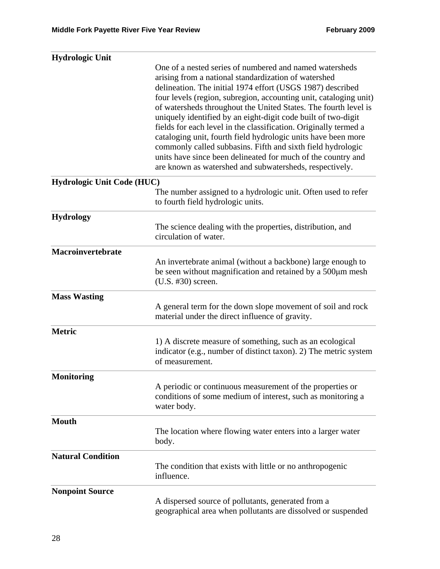| <b>Hydrologic Unit</b>            |                                                                                                                                                                                                                                                                                                                                                                                                                                                                                                                                                                                                                                                                                                                       |
|-----------------------------------|-----------------------------------------------------------------------------------------------------------------------------------------------------------------------------------------------------------------------------------------------------------------------------------------------------------------------------------------------------------------------------------------------------------------------------------------------------------------------------------------------------------------------------------------------------------------------------------------------------------------------------------------------------------------------------------------------------------------------|
|                                   | One of a nested series of numbered and named watersheds<br>arising from a national standardization of watershed<br>delineation. The initial 1974 effort (USGS 1987) described<br>four levels (region, subregion, accounting unit, cataloging unit)<br>of watersheds throughout the United States. The fourth level is<br>uniquely identified by an eight-digit code built of two-digit<br>fields for each level in the classification. Originally termed a<br>cataloging unit, fourth field hydrologic units have been more<br>commonly called subbasins. Fifth and sixth field hydrologic<br>units have since been delineated for much of the country and<br>are known as watershed and subwatersheds, respectively. |
| <b>Hydrologic Unit Code (HUC)</b> |                                                                                                                                                                                                                                                                                                                                                                                                                                                                                                                                                                                                                                                                                                                       |
|                                   | The number assigned to a hydrologic unit. Often used to refer<br>to fourth field hydrologic units.                                                                                                                                                                                                                                                                                                                                                                                                                                                                                                                                                                                                                    |
| <b>Hydrology</b>                  |                                                                                                                                                                                                                                                                                                                                                                                                                                                                                                                                                                                                                                                                                                                       |
|                                   | The science dealing with the properties, distribution, and<br>circulation of water.                                                                                                                                                                                                                                                                                                                                                                                                                                                                                                                                                                                                                                   |
| Macroinvertebrate                 |                                                                                                                                                                                                                                                                                                                                                                                                                                                                                                                                                                                                                                                                                                                       |
|                                   | An invertebrate animal (without a backbone) large enough to<br>be seen without magnification and retained by a 500µm mesh<br>(U.S. #30) screen.                                                                                                                                                                                                                                                                                                                                                                                                                                                                                                                                                                       |
| <b>Mass Wasting</b>               |                                                                                                                                                                                                                                                                                                                                                                                                                                                                                                                                                                                                                                                                                                                       |
|                                   | A general term for the down slope movement of soil and rock<br>material under the direct influence of gravity.                                                                                                                                                                                                                                                                                                                                                                                                                                                                                                                                                                                                        |
| <b>Metric</b>                     |                                                                                                                                                                                                                                                                                                                                                                                                                                                                                                                                                                                                                                                                                                                       |
|                                   | 1) A discrete measure of something, such as an ecological<br>indicator (e.g., number of distinct taxon). 2) The metric system<br>of measurement.                                                                                                                                                                                                                                                                                                                                                                                                                                                                                                                                                                      |
| <b>Monitoring</b>                 |                                                                                                                                                                                                                                                                                                                                                                                                                                                                                                                                                                                                                                                                                                                       |
|                                   | A periodic or continuous measurement of the properties or<br>conditions of some medium of interest, such as monitoring a<br>water body.                                                                                                                                                                                                                                                                                                                                                                                                                                                                                                                                                                               |
| <b>Mouth</b>                      |                                                                                                                                                                                                                                                                                                                                                                                                                                                                                                                                                                                                                                                                                                                       |
|                                   | The location where flowing water enters into a larger water<br>body.                                                                                                                                                                                                                                                                                                                                                                                                                                                                                                                                                                                                                                                  |
| <b>Natural Condition</b>          |                                                                                                                                                                                                                                                                                                                                                                                                                                                                                                                                                                                                                                                                                                                       |
|                                   | The condition that exists with little or no anthropogenic<br>influence.                                                                                                                                                                                                                                                                                                                                                                                                                                                                                                                                                                                                                                               |
| <b>Nonpoint Source</b>            |                                                                                                                                                                                                                                                                                                                                                                                                                                                                                                                                                                                                                                                                                                                       |
|                                   | A dispersed source of pollutants, generated from a<br>geographical area when pollutants are dissolved or suspended                                                                                                                                                                                                                                                                                                                                                                                                                                                                                                                                                                                                    |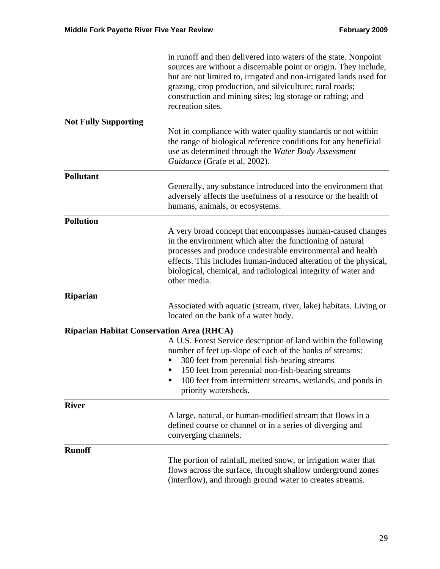|                                                  | in runoff and then delivered into waters of the state. Nonpoint<br>sources are without a discernable point or origin. They include,<br>but are not limited to, irrigated and non-irrigated lands used for<br>grazing, crop production, and silviculture; rural roads;<br>construction and mining sites; log storage or rafting; and<br>recreation sites. |
|--------------------------------------------------|----------------------------------------------------------------------------------------------------------------------------------------------------------------------------------------------------------------------------------------------------------------------------------------------------------------------------------------------------------|
| <b>Not Fully Supporting</b>                      | Not in compliance with water quality standards or not within<br>the range of biological reference conditions for any beneficial<br>use as determined through the Water Body Assessment<br>Guidance (Grafe et al. 2002).                                                                                                                                  |
| <b>Pollutant</b>                                 | Generally, any substance introduced into the environment that<br>adversely affects the usefulness of a resource or the health of<br>humans, animals, or ecosystems.                                                                                                                                                                                      |
| <b>Pollution</b>                                 | A very broad concept that encompasses human-caused changes<br>in the environment which alter the functioning of natural<br>processes and produce undesirable environmental and health<br>effects. This includes human-induced alteration of the physical,<br>biological, chemical, and radiological integrity of water and<br>other media.               |
| <b>Riparian</b>                                  | Associated with aquatic (stream, river, lake) habitats. Living or<br>located on the bank of a water body.                                                                                                                                                                                                                                                |
| <b>Riparian Habitat Conservation Area (RHCA)</b> | A U.S. Forest Service description of land within the following<br>number of feet up-slope of each of the banks of streams:<br>300 feet from perennial fish-bearing streams<br>150 feet from perennial non-fish-bearing streams<br>100 feet from intermittent streams, wetlands, and ponds in<br>п<br>priority watersheds.                                |
| <b>River</b>                                     | A large, natural, or human-modified stream that flows in a<br>defined course or channel or in a series of diverging and<br>converging channels.                                                                                                                                                                                                          |
| <b>Runoff</b>                                    | The portion of rainfall, melted snow, or irrigation water that<br>flows across the surface, through shallow underground zones<br>(interflow), and through ground water to creates streams.                                                                                                                                                               |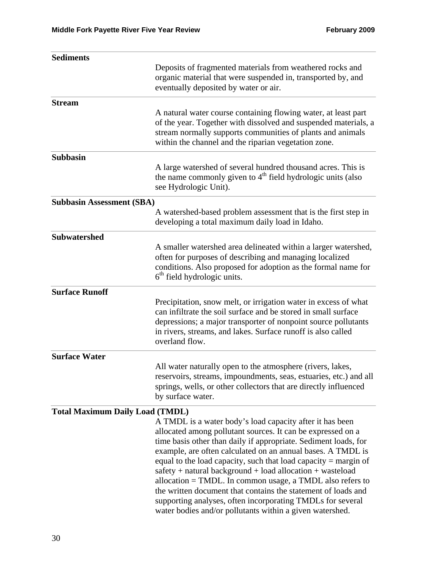| <b>Sediments</b>                       |                                                                                                                                                                                                                                                                                                                                                                                                                                                                                                                                                                                                                                                     |  |  |  |
|----------------------------------------|-----------------------------------------------------------------------------------------------------------------------------------------------------------------------------------------------------------------------------------------------------------------------------------------------------------------------------------------------------------------------------------------------------------------------------------------------------------------------------------------------------------------------------------------------------------------------------------------------------------------------------------------------------|--|--|--|
|                                        | Deposits of fragmented materials from weathered rocks and<br>organic material that were suspended in, transported by, and<br>eventually deposited by water or air.                                                                                                                                                                                                                                                                                                                                                                                                                                                                                  |  |  |  |
| <b>Stream</b>                          |                                                                                                                                                                                                                                                                                                                                                                                                                                                                                                                                                                                                                                                     |  |  |  |
|                                        | A natural water course containing flowing water, at least part<br>of the year. Together with dissolved and suspended materials, a<br>stream normally supports communities of plants and animals<br>within the channel and the riparian vegetation zone.                                                                                                                                                                                                                                                                                                                                                                                             |  |  |  |
| <b>Subbasin</b>                        |                                                                                                                                                                                                                                                                                                                                                                                                                                                                                                                                                                                                                                                     |  |  |  |
|                                        | A large watershed of several hundred thousand acres. This is<br>the name commonly given to 4 <sup>th</sup> field hydrologic units (also<br>see Hydrologic Unit).                                                                                                                                                                                                                                                                                                                                                                                                                                                                                    |  |  |  |
| <b>Subbasin Assessment (SBA)</b>       |                                                                                                                                                                                                                                                                                                                                                                                                                                                                                                                                                                                                                                                     |  |  |  |
|                                        | A watershed-based problem assessment that is the first step in<br>developing a total maximum daily load in Idaho.                                                                                                                                                                                                                                                                                                                                                                                                                                                                                                                                   |  |  |  |
| <b>Subwatershed</b>                    |                                                                                                                                                                                                                                                                                                                                                                                                                                                                                                                                                                                                                                                     |  |  |  |
|                                        | A smaller watershed area delineated within a larger watershed,<br>often for purposes of describing and managing localized<br>conditions. Also proposed for adoption as the formal name for<br>$6th$ field hydrologic units.                                                                                                                                                                                                                                                                                                                                                                                                                         |  |  |  |
| <b>Surface Runoff</b>                  |                                                                                                                                                                                                                                                                                                                                                                                                                                                                                                                                                                                                                                                     |  |  |  |
|                                        | Precipitation, snow melt, or irrigation water in excess of what<br>can infiltrate the soil surface and be stored in small surface<br>depressions; a major transporter of nonpoint source pollutants<br>in rivers, streams, and lakes. Surface runoff is also called<br>overland flow.                                                                                                                                                                                                                                                                                                                                                               |  |  |  |
| <b>Surface Water</b>                   |                                                                                                                                                                                                                                                                                                                                                                                                                                                                                                                                                                                                                                                     |  |  |  |
|                                        | All water naturally open to the atmosphere (rivers, lakes,<br>reservoirs, streams, impoundments, seas, estuaries, etc.) and all<br>springs, wells, or other collectors that are directly influenced<br>by surface water.                                                                                                                                                                                                                                                                                                                                                                                                                            |  |  |  |
| <b>Total Maximum Daily Load (TMDL)</b> |                                                                                                                                                                                                                                                                                                                                                                                                                                                                                                                                                                                                                                                     |  |  |  |
|                                        | A TMDL is a water body's load capacity after it has been<br>allocated among pollutant sources. It can be expressed on a<br>time basis other than daily if appropriate. Sediment loads, for<br>example, are often calculated on an annual bases. A TMDL is<br>equal to the load capacity, such that load capacity $=$ margin of<br>safety + natural background + load allocation + wasteload<br>allocation = TMDL. In common usage, a TMDL also refers to<br>the written document that contains the statement of loads and<br>supporting analyses, often incorporating TMDLs for several<br>water bodies and/or pollutants within a given watershed. |  |  |  |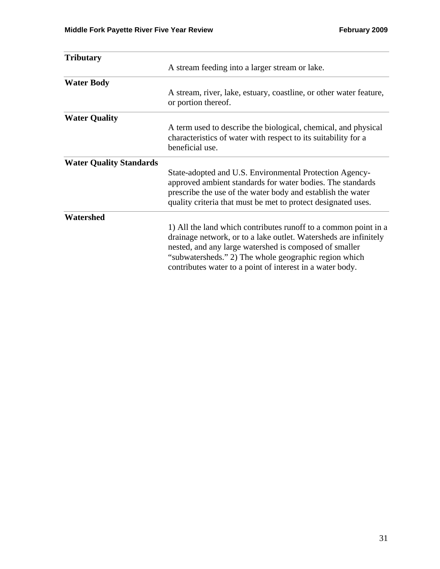| <b>Tributary</b>               |                                                                                                                                                                                                                                                                                                                     |  |  |
|--------------------------------|---------------------------------------------------------------------------------------------------------------------------------------------------------------------------------------------------------------------------------------------------------------------------------------------------------------------|--|--|
|                                | A stream feeding into a larger stream or lake.                                                                                                                                                                                                                                                                      |  |  |
| <b>Water Body</b>              |                                                                                                                                                                                                                                                                                                                     |  |  |
|                                | A stream, river, lake, estuary, coastline, or other water feature,<br>or portion thereof.                                                                                                                                                                                                                           |  |  |
| <b>Water Quality</b>           |                                                                                                                                                                                                                                                                                                                     |  |  |
|                                | A term used to describe the biological, chemical, and physical<br>characteristics of water with respect to its suitability for a<br>beneficial use.                                                                                                                                                                 |  |  |
| <b>Water Quality Standards</b> |                                                                                                                                                                                                                                                                                                                     |  |  |
|                                | State-adopted and U.S. Environmental Protection Agency-<br>approved ambient standards for water bodies. The standards<br>prescribe the use of the water body and establish the water<br>quality criteria that must be met to protect designated uses.                                                               |  |  |
| Watershed                      |                                                                                                                                                                                                                                                                                                                     |  |  |
|                                | 1) All the land which contributes runoff to a common point in a<br>drainage network, or to a lake outlet. Watersheds are infinitely<br>nested, and any large watershed is composed of smaller<br>"subwatersheds." 2) The whole geographic region which<br>contributes water to a point of interest in a water body. |  |  |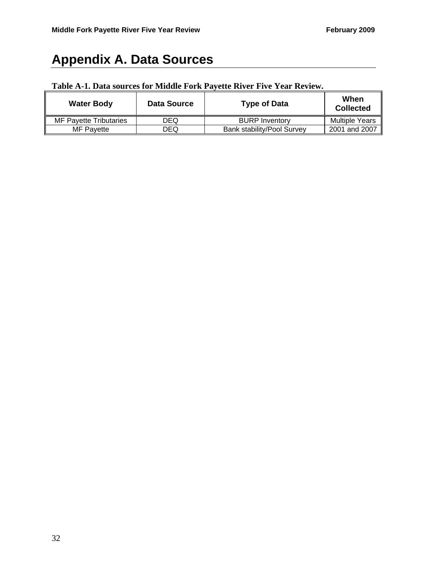# **Appendix A. Data Sources**

## **Table A-1. Data sources for Middle Fork Payette River Five Year Review.**

| <b>Water Body</b>      | Data Source | <b>Type of Data</b>               | When<br><b>Collected</b> |
|------------------------|-------------|-----------------------------------|--------------------------|
| MF Pavette Tributaries | DEQ         | <b>BURP Inventory</b>             | <b>Multiple Years</b>    |
| <b>MF Pavette</b>      | DEQ         | <b>Bank stability/Pool Survey</b> | 2001 and 2007            |